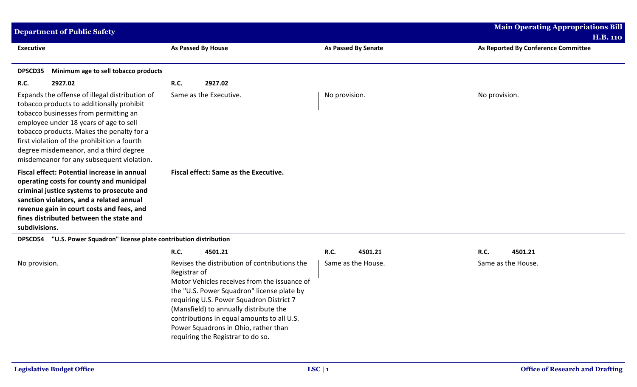| <b>Department of Public Safety</b>                                                                                                                                                                                                                                                                                                                                |                                       |                     | <b>Main Operating Appropriations Bill</b><br><b>H.B. 110</b> |
|-------------------------------------------------------------------------------------------------------------------------------------------------------------------------------------------------------------------------------------------------------------------------------------------------------------------------------------------------------------------|---------------------------------------|---------------------|--------------------------------------------------------------|
| <b>Executive</b>                                                                                                                                                                                                                                                                                                                                                  | As Passed By House                    | As Passed By Senate | As Reported By Conference Committee                          |
| Minimum age to sell tobacco products<br>DPSCD35                                                                                                                                                                                                                                                                                                                   |                                       |                     |                                                              |
| <b>R.C.</b><br>2927.02                                                                                                                                                                                                                                                                                                                                            | R.C.<br>2927.02                       |                     |                                                              |
| Expands the offense of illegal distribution of<br>tobacco products to additionally prohibit<br>tobacco businesses from permitting an<br>employee under 18 years of age to sell<br>tobacco products. Makes the penalty for a<br>first violation of the prohibition a fourth<br>degree misdemeanor, and a third degree<br>misdemeanor for any subsequent violation. | Same as the Executive.                | No provision.       | No provision.                                                |
| Fiscal effect: Potential increase in annual<br>operating costs for county and municipal<br>criminal justice systems to prosecute and<br>sanction violators, and a related annual<br>revenue gain in court costs and fees, and<br>fines distributed between the state and<br>subdivisions.                                                                         | Fiscal effect: Same as the Executive. |                     |                                                              |
| "U.S. Power Squadron" license plate contribution distribution<br><b>DPSCD54</b>                                                                                                                                                                                                                                                                                   |                                       |                     |                                                              |

|               | 4501.21<br><b>R.C.</b>                                                                                                                                                                                                                                                      |                                                                                               | <b>R.C.</b>        | 4501.21 | <b>R.C.</b>        | 4501.21 |
|---------------|-----------------------------------------------------------------------------------------------------------------------------------------------------------------------------------------------------------------------------------------------------------------------------|-----------------------------------------------------------------------------------------------|--------------------|---------|--------------------|---------|
| No provision. | Registrar of<br>the "U.S. Power Squadron" license plate by<br>requiring U.S. Power Squadron District 7<br>(Mansfield) to annually distribute the<br>contributions in equal amounts to all U.S.<br>Power Squadrons in Ohio, rather than<br>requiring the Registrar to do so. | Revises the distribution of contributions the<br>Motor Vehicles receives from the issuance of | Same as the House. |         | Same as the House. |         |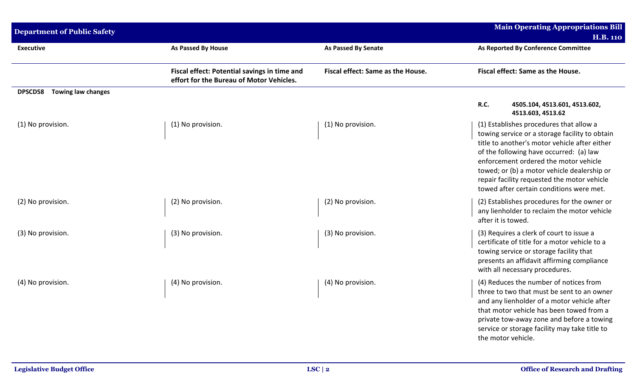| <b>Department of Public Safety</b>          |                                                                                          |                                   | <b>Main Operating Appropriations Bill</b><br><b>H.B. 110</b>                                                                                                                                                                                                                                                                                                             |
|---------------------------------------------|------------------------------------------------------------------------------------------|-----------------------------------|--------------------------------------------------------------------------------------------------------------------------------------------------------------------------------------------------------------------------------------------------------------------------------------------------------------------------------------------------------------------------|
| <b>Executive</b>                            | <b>As Passed By House</b>                                                                | As Passed By Senate               | As Reported By Conference Committee                                                                                                                                                                                                                                                                                                                                      |
|                                             | Fiscal effect: Potential savings in time and<br>effort for the Bureau of Motor Vehicles. | Fiscal effect: Same as the House. | Fiscal effect: Same as the House.                                                                                                                                                                                                                                                                                                                                        |
| <b>Towing law changes</b><br><b>DPSCD58</b> |                                                                                          |                                   | R.C.<br>4505.104, 4513.601, 4513.602,<br>4513.603, 4513.62                                                                                                                                                                                                                                                                                                               |
| (1) No provision.                           | (1) No provision.                                                                        | (1) No provision.                 | (1) Establishes procedures that allow a<br>towing service or a storage facility to obtain<br>title to another's motor vehicle after either<br>of the following have occurred: (a) law<br>enforcement ordered the motor vehicle<br>towed; or (b) a motor vehicle dealership or<br>repair facility requested the motor vehicle<br>towed after certain conditions were met. |
| (2) No provision.                           | (2) No provision.                                                                        | (2) No provision.                 | (2) Establishes procedures for the owner or<br>any lienholder to reclaim the motor vehicle<br>after it is towed.                                                                                                                                                                                                                                                         |
| (3) No provision.                           | (3) No provision.                                                                        | (3) No provision.                 | (3) Requires a clerk of court to issue a<br>certificate of title for a motor vehicle to a<br>towing service or storage facility that<br>presents an affidavit affirming compliance<br>with all necessary procedures.                                                                                                                                                     |
| (4) No provision.                           | (4) No provision.                                                                        | (4) No provision.                 | (4) Reduces the number of notices from<br>three to two that must be sent to an owner<br>and any lienholder of a motor vehicle after<br>that motor vehicle has been towed from a<br>private tow-away zone and before a towing<br>service or storage facility may take title to<br>the motor vehicle.                                                                      |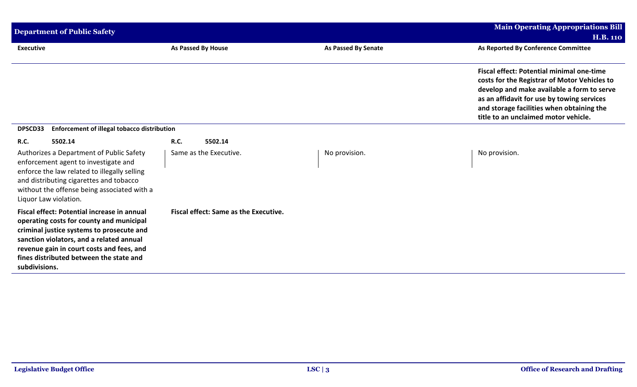| <b>Department of Public Safety</b>                                                                                                                                                                                                                                                        |                                              |                            | <b>Main Operating Appropriations Bill</b>                                                                                                                                                                                                                                         |
|-------------------------------------------------------------------------------------------------------------------------------------------------------------------------------------------------------------------------------------------------------------------------------------------|----------------------------------------------|----------------------------|-----------------------------------------------------------------------------------------------------------------------------------------------------------------------------------------------------------------------------------------------------------------------------------|
|                                                                                                                                                                                                                                                                                           |                                              |                            | <b>H.B. 110</b>                                                                                                                                                                                                                                                                   |
| <b>Executive</b>                                                                                                                                                                                                                                                                          | <b>As Passed By House</b>                    | <b>As Passed By Senate</b> | As Reported By Conference Committee                                                                                                                                                                                                                                               |
|                                                                                                                                                                                                                                                                                           |                                              |                            | <b>Fiscal effect: Potential minimal one-time</b><br>costs for the Registrar of Motor Vehicles to<br>develop and make available a form to serve<br>as an affidavit for use by towing services<br>and storage facilities when obtaining the<br>title to an unclaimed motor vehicle. |
| <b>Enforcement of illegal tobacco distribution</b><br>DPSCD33                                                                                                                                                                                                                             |                                              |                            |                                                                                                                                                                                                                                                                                   |
| <b>R.C.</b><br>5502.14                                                                                                                                                                                                                                                                    | <b>R.C.</b><br>5502.14                       |                            |                                                                                                                                                                                                                                                                                   |
| Authorizes a Department of Public Safety<br>enforcement agent to investigate and<br>enforce the law related to illegally selling<br>and distributing cigarettes and tobacco<br>without the offense being associated with a<br>Liquor Law violation.                                       | Same as the Executive.                       | No provision.              | No provision.                                                                                                                                                                                                                                                                     |
| Fiscal effect: Potential increase in annual<br>operating costs for county and municipal<br>criminal justice systems to prosecute and<br>sanction violators, and a related annual<br>revenue gain in court costs and fees, and<br>fines distributed between the state and<br>subdivisions. | <b>Fiscal effect: Same as the Executive.</b> |                            |                                                                                                                                                                                                                                                                                   |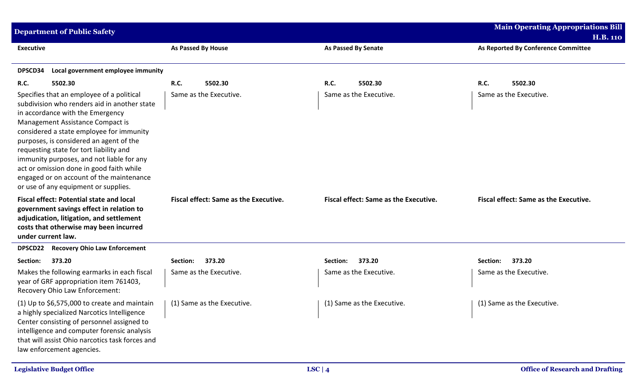| <b>Department of Public Safety</b>                                                                                                                                                                                                                                                                                                                                                                                                                                               |             |                                              |                                              | <b>Main Operating Appropriations Bill</b>              |
|----------------------------------------------------------------------------------------------------------------------------------------------------------------------------------------------------------------------------------------------------------------------------------------------------------------------------------------------------------------------------------------------------------------------------------------------------------------------------------|-------------|----------------------------------------------|----------------------------------------------|--------------------------------------------------------|
| <b>Executive</b>                                                                                                                                                                                                                                                                                                                                                                                                                                                                 |             | <b>As Passed By House</b>                    | <b>As Passed By Senate</b>                   | <b>H.B. 110</b><br>As Reported By Conference Committee |
| DPSCD34<br>Local government employee immunity                                                                                                                                                                                                                                                                                                                                                                                                                                    |             |                                              |                                              |                                                        |
| 5502.30<br><b>R.C.</b>                                                                                                                                                                                                                                                                                                                                                                                                                                                           | <b>R.C.</b> | 5502.30                                      | R.C.<br>5502.30                              | 5502.30<br><b>R.C.</b>                                 |
| Specifies that an employee of a political<br>subdivision who renders aid in another state<br>in accordance with the Emergency<br>Management Assistance Compact is<br>considered a state employee for immunity<br>purposes, is considered an agent of the<br>requesting state for tort liability and<br>immunity purposes, and not liable for any<br>act or omission done in good faith while<br>engaged or on account of the maintenance<br>or use of any equipment or supplies. |             | Same as the Executive.                       | Same as the Executive.                       | Same as the Executive.                                 |
| <b>Fiscal effect: Potential state and local</b><br>government savings effect in relation to<br>adjudication, litigation, and settlement<br>costs that otherwise may been incurred<br>under current law.                                                                                                                                                                                                                                                                          |             | <b>Fiscal effect: Same as the Executive.</b> | <b>Fiscal effect: Same as the Executive.</b> | Fiscal effect: Same as the Executive.                  |
| <b>Recovery Ohio Law Enforcement</b><br>DPSCD22                                                                                                                                                                                                                                                                                                                                                                                                                                  |             |                                              |                                              |                                                        |
| 373.20<br>Section:                                                                                                                                                                                                                                                                                                                                                                                                                                                               | Section:    | 373.20                                       | 373.20<br>Section:                           | 373.20<br>Section:                                     |
| Makes the following earmarks in each fiscal<br>year of GRF appropriation item 761403,<br>Recovery Ohio Law Enforcement:                                                                                                                                                                                                                                                                                                                                                          |             | Same as the Executive.                       | Same as the Executive.                       | Same as the Executive.                                 |
| $(1)$ Up to \$6,575,000 to create and maintain<br>a highly specialized Narcotics Intelligence<br>Center consisting of personnel assigned to<br>intelligence and computer forensic analysis<br>that will assist Ohio narcotics task forces and<br>law enforcement agencies.                                                                                                                                                                                                       |             | (1) Same as the Executive.                   | (1) Same as the Executive.                   | (1) Same as the Executive.                             |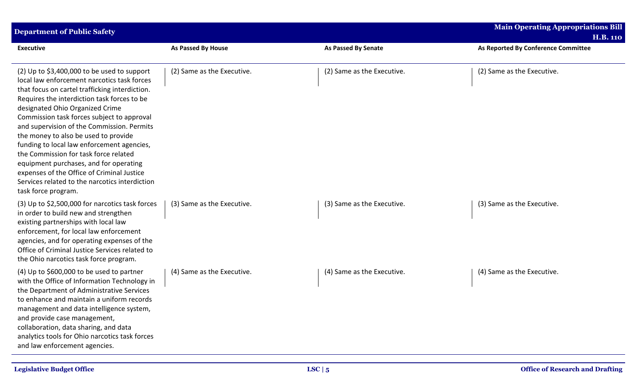| <b>Department of Public Safety</b>                                                                                                                                                                                                                                                                                                                                                                                                                                                                                                                                                                                          |                            |                            | <b>Main Operating Appropriations Bill</b><br><b>H.B. 110</b> |
|-----------------------------------------------------------------------------------------------------------------------------------------------------------------------------------------------------------------------------------------------------------------------------------------------------------------------------------------------------------------------------------------------------------------------------------------------------------------------------------------------------------------------------------------------------------------------------------------------------------------------------|----------------------------|----------------------------|--------------------------------------------------------------|
| <b>Executive</b>                                                                                                                                                                                                                                                                                                                                                                                                                                                                                                                                                                                                            | As Passed By House         | As Passed By Senate        | As Reported By Conference Committee                          |
| (2) Up to $$3,400,000$ to be used to support<br>local law enforcement narcotics task forces<br>that focus on cartel trafficking interdiction.<br>Requires the interdiction task forces to be<br>designated Ohio Organized Crime<br>Commission task forces subject to approval<br>and supervision of the Commission. Permits<br>the money to also be used to provide<br>funding to local law enforcement agencies,<br>the Commission for task force related<br>equipment purchases, and for operating<br>expenses of the Office of Criminal Justice<br>Services related to the narcotics interdiction<br>task force program. | (2) Same as the Executive. | (2) Same as the Executive. | (2) Same as the Executive.                                   |
| (3) Up to \$2,500,000 for narcotics task forces<br>in order to build new and strengthen<br>existing partnerships with local law<br>enforcement, for local law enforcement<br>agencies, and for operating expenses of the<br>Office of Criminal Justice Services related to<br>the Ohio narcotics task force program.                                                                                                                                                                                                                                                                                                        | (3) Same as the Executive. | (3) Same as the Executive. | (3) Same as the Executive.                                   |
| (4) Up to \$600,000 to be used to partner<br>with the Office of Information Technology in<br>the Department of Administrative Services<br>to enhance and maintain a uniform records<br>management and data intelligence system,<br>and provide case management,<br>collaboration, data sharing, and data<br>analytics tools for Ohio narcotics task forces<br>and law enforcement agencies.                                                                                                                                                                                                                                 | (4) Same as the Executive. | (4) Same as the Executive. | (4) Same as the Executive.                                   |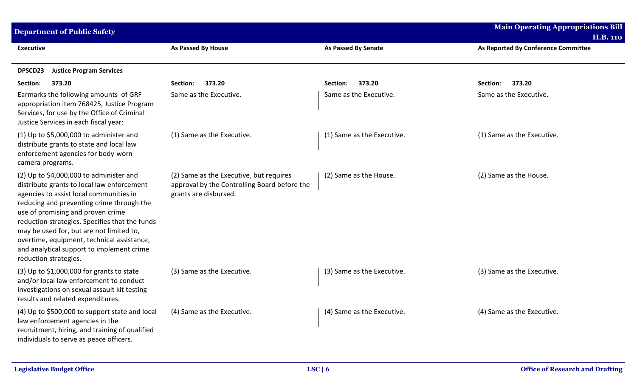| <b>Department of Public Safety</b>                                                                                                                                                                                                                                                                                                                                                                                                    |                                                                                                                  |                            | <b>Main Operating Appropriations Bill</b>              |
|---------------------------------------------------------------------------------------------------------------------------------------------------------------------------------------------------------------------------------------------------------------------------------------------------------------------------------------------------------------------------------------------------------------------------------------|------------------------------------------------------------------------------------------------------------------|----------------------------|--------------------------------------------------------|
| <b>Executive</b>                                                                                                                                                                                                                                                                                                                                                                                                                      | <b>As Passed By House</b>                                                                                        | <b>As Passed By Senate</b> | <b>H.B. 110</b><br>As Reported By Conference Committee |
| <b>Justice Program Services</b><br>DPSCD23                                                                                                                                                                                                                                                                                                                                                                                            |                                                                                                                  |                            |                                                        |
| 373.20<br>Section:                                                                                                                                                                                                                                                                                                                                                                                                                    | 373.20<br>Section:                                                                                               | 373.20<br>Section:         | 373.20<br>Section:                                     |
| Earmarks the following amounts of GRF<br>appropriation item 768425, Justice Program<br>Services, for use by the Office of Criminal<br>Justice Services in each fiscal year:                                                                                                                                                                                                                                                           | Same as the Executive.                                                                                           | Same as the Executive.     | Same as the Executive.                                 |
| $(1)$ Up to \$5,000,000 to administer and<br>distribute grants to state and local law<br>enforcement agencies for body-worn<br>camera programs.                                                                                                                                                                                                                                                                                       | (1) Same as the Executive.                                                                                       | (1) Same as the Executive. | (1) Same as the Executive.                             |
| (2) Up to $$4,000,000$ to administer and<br>distribute grants to local law enforcement<br>agencies to assist local communities in<br>reducing and preventing crime through the<br>use of promising and proven crime<br>reduction strategies. Specifies that the funds<br>may be used for, but are not limited to,<br>overtime, equipment, technical assistance,<br>and analytical support to implement crime<br>reduction strategies. | (2) Same as the Executive, but requires<br>approval by the Controlling Board before the<br>grants are disbursed. | (2) Same as the House.     | (2) Same as the House.                                 |
| $(3)$ Up to \$1,000,000 for grants to state<br>and/or local law enforcement to conduct<br>investigations on sexual assault kit testing<br>results and related expenditures.                                                                                                                                                                                                                                                           | (3) Same as the Executive.                                                                                       | (3) Same as the Executive. | (3) Same as the Executive.                             |
| (4) Up to \$500,000 to support state and local<br>law enforcement agencies in the<br>recruitment, hiring, and training of qualified<br>individuals to serve as peace officers.                                                                                                                                                                                                                                                        | (4) Same as the Executive.                                                                                       | (4) Same as the Executive. | (4) Same as the Executive.                             |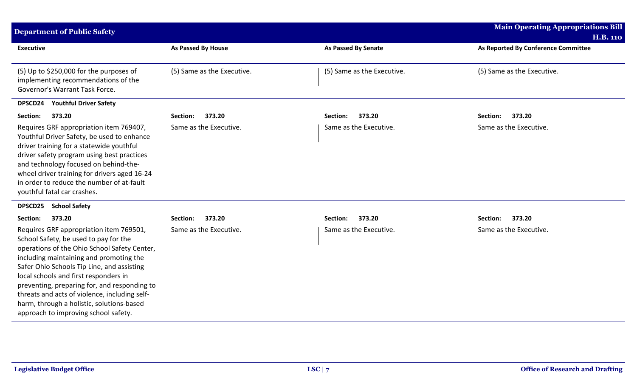| <b>Department of Public Safety</b>                                                                                                                                                                                                                                                                                                                                                                                                                       |                            |                            | <b>Main Operating Appropriations Bill</b><br><b>H.B. 110</b> |
|----------------------------------------------------------------------------------------------------------------------------------------------------------------------------------------------------------------------------------------------------------------------------------------------------------------------------------------------------------------------------------------------------------------------------------------------------------|----------------------------|----------------------------|--------------------------------------------------------------|
| <b>Executive</b>                                                                                                                                                                                                                                                                                                                                                                                                                                         | As Passed By House         | <b>As Passed By Senate</b> | As Reported By Conference Committee                          |
| (5) Up to \$250,000 for the purposes of<br>implementing recommendations of the<br>Governor's Warrant Task Force.                                                                                                                                                                                                                                                                                                                                         | (5) Same as the Executive. | (5) Same as the Executive. | (5) Same as the Executive.                                   |
| <b>Youthful Driver Safety</b><br>DPSCD24                                                                                                                                                                                                                                                                                                                                                                                                                 |                            |                            |                                                              |
| Section:<br>373.20                                                                                                                                                                                                                                                                                                                                                                                                                                       | 373.20<br>Section:         | 373.20<br>Section:         | 373.20<br>Section:                                           |
| Requires GRF appropriation item 769407,<br>Youthful Driver Safety, be used to enhance<br>driver training for a statewide youthful<br>driver safety program using best practices<br>and technology focused on behind-the-<br>wheel driver training for drivers aged 16-24<br>in order to reduce the number of at-fault<br>youthful fatal car crashes.                                                                                                     | Same as the Executive.     | Same as the Executive.     | Same as the Executive.                                       |
| <b>School Safety</b><br><b>DPSCD25</b>                                                                                                                                                                                                                                                                                                                                                                                                                   |                            |                            |                                                              |
| 373.20<br>Section:                                                                                                                                                                                                                                                                                                                                                                                                                                       | 373.20<br>Section:         | 373.20<br>Section:         | 373.20<br>Section:                                           |
| Requires GRF appropriation item 769501,<br>School Safety, be used to pay for the<br>operations of the Ohio School Safety Center,<br>including maintaining and promoting the<br>Safer Ohio Schools Tip Line, and assisting<br>local schools and first responders in<br>preventing, preparing for, and responding to<br>threats and acts of violence, including self-<br>harm, through a holistic, solutions-based<br>approach to improving school safety. | Same as the Executive.     | Same as the Executive.     | Same as the Executive.                                       |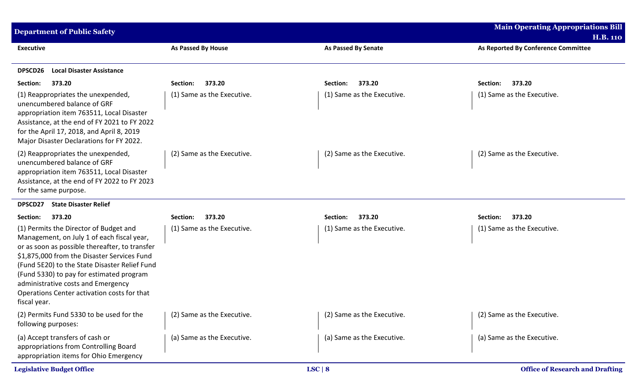| <b>Department of Public Safety</b>                                                                                                                                                                                                                                                                                                                                                      |                            |                            | <b>Main Operating Appropriations Bill</b><br><b>H.B. 110</b> |
|-----------------------------------------------------------------------------------------------------------------------------------------------------------------------------------------------------------------------------------------------------------------------------------------------------------------------------------------------------------------------------------------|----------------------------|----------------------------|--------------------------------------------------------------|
| <b>Executive</b>                                                                                                                                                                                                                                                                                                                                                                        | As Passed By House         | <b>As Passed By Senate</b> | As Reported By Conference Committee                          |
| DPSCD26<br><b>Local Disaster Assistance</b>                                                                                                                                                                                                                                                                                                                                             |                            |                            |                                                              |
| 373.20<br>Section:                                                                                                                                                                                                                                                                                                                                                                      | 373.20<br>Section:         | 373.20<br>Section:         | 373.20<br>Section:                                           |
| (1) Reappropriates the unexpended,<br>unencumbered balance of GRF<br>appropriation item 763511, Local Disaster<br>Assistance, at the end of FY 2021 to FY 2022<br>for the April 17, 2018, and April 8, 2019<br>Major Disaster Declarations for FY 2022.                                                                                                                                 | (1) Same as the Executive. | (1) Same as the Executive. | (1) Same as the Executive.                                   |
| (2) Reappropriates the unexpended,<br>unencumbered balance of GRF<br>appropriation item 763511, Local Disaster<br>Assistance, at the end of FY 2022 to FY 2023<br>for the same purpose.                                                                                                                                                                                                 | (2) Same as the Executive. | (2) Same as the Executive. | (2) Same as the Executive.                                   |
| <b>State Disaster Relief</b><br>DPSCD27                                                                                                                                                                                                                                                                                                                                                 |                            |                            |                                                              |
| Section:<br>373.20                                                                                                                                                                                                                                                                                                                                                                      | 373.20<br>Section:         | 373.20<br>Section:         | 373.20<br>Section:                                           |
| (1) Permits the Director of Budget and<br>Management, on July 1 of each fiscal year,<br>or as soon as possible thereafter, to transfer<br>\$1,875,000 from the Disaster Services Fund<br>(Fund 5E20) to the State Disaster Relief Fund<br>(Fund 5330) to pay for estimated program<br>administrative costs and Emergency<br>Operations Center activation costs for that<br>fiscal year. | (1) Same as the Executive. | (1) Same as the Executive. | (1) Same as the Executive.                                   |
| (2) Permits Fund 5330 to be used for the<br>following purposes:                                                                                                                                                                                                                                                                                                                         | (2) Same as the Executive. | (2) Same as the Executive. | (2) Same as the Executive.                                   |
| (a) Accept transfers of cash or<br>appropriations from Controlling Board<br>appropriation items for Ohio Emergency                                                                                                                                                                                                                                                                      | (a) Same as the Executive. | (a) Same as the Executive. | (a) Same as the Executive.                                   |
| <b>Legislative Budget Office</b>                                                                                                                                                                                                                                                                                                                                                        |                            | LSC   8                    | <b>Office of Research and Drafting</b>                       |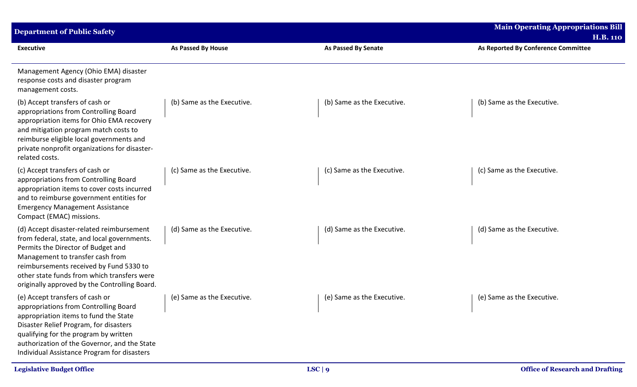| <b>Department of Public Safety</b>                                                                                                                                                                                                                                                                            |                            |                            | <b>Main Operating Appropriations Bill</b><br><b>H.B. 110</b> |
|---------------------------------------------------------------------------------------------------------------------------------------------------------------------------------------------------------------------------------------------------------------------------------------------------------------|----------------------------|----------------------------|--------------------------------------------------------------|
| <b>Executive</b>                                                                                                                                                                                                                                                                                              | As Passed By House         | <b>As Passed By Senate</b> | As Reported By Conference Committee                          |
| Management Agency (Ohio EMA) disaster<br>response costs and disaster program<br>management costs.                                                                                                                                                                                                             |                            |                            |                                                              |
| (b) Accept transfers of cash or<br>appropriations from Controlling Board<br>appropriation items for Ohio EMA recovery<br>and mitigation program match costs to<br>reimburse eligible local governments and<br>private nonprofit organizations for disaster-<br>related costs.                                 | (b) Same as the Executive. | (b) Same as the Executive. | (b) Same as the Executive.                                   |
| (c) Accept transfers of cash or<br>appropriations from Controlling Board<br>appropriation items to cover costs incurred<br>and to reimburse government entities for<br><b>Emergency Management Assistance</b><br>Compact (EMAC) missions.                                                                     | (c) Same as the Executive. | (c) Same as the Executive. | (c) Same as the Executive.                                   |
| (d) Accept disaster-related reimbursement<br>from federal, state, and local governments.<br>Permits the Director of Budget and<br>Management to transfer cash from<br>reimbursements received by Fund 5330 to<br>other state funds from which transfers were<br>originally approved by the Controlling Board. | (d) Same as the Executive. | (d) Same as the Executive. | (d) Same as the Executive.                                   |
| (e) Accept transfers of cash or<br>appropriations from Controlling Board<br>appropriation items to fund the State<br>Disaster Relief Program, for disasters<br>qualifying for the program by written<br>authorization of the Governor, and the State<br>Individual Assistance Program for disasters           | (e) Same as the Executive. | (e) Same as the Executive. | (e) Same as the Executive.                                   |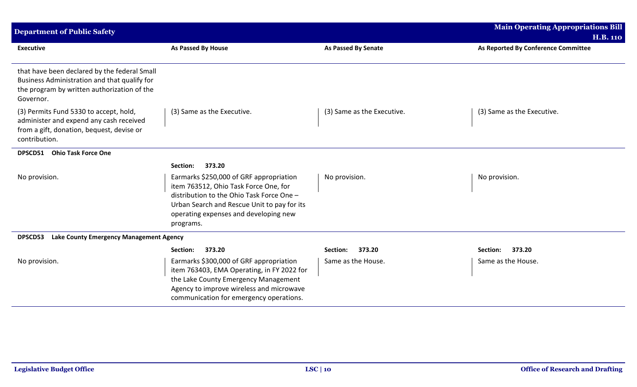| <b>Department of Public Safety</b>                                                                                                                       |                                                                                                                                                                                                                                    |                            | <b>Main Operating Appropriations Bill</b> |
|----------------------------------------------------------------------------------------------------------------------------------------------------------|------------------------------------------------------------------------------------------------------------------------------------------------------------------------------------------------------------------------------------|----------------------------|-------------------------------------------|
|                                                                                                                                                          |                                                                                                                                                                                                                                    |                            | <b>H.B. 110</b>                           |
| <b>Executive</b>                                                                                                                                         | <b>As Passed By House</b>                                                                                                                                                                                                          | <b>As Passed By Senate</b> | As Reported By Conference Committee       |
| that have been declared by the federal Small<br>Business Administration and that qualify for<br>the program by written authorization of the<br>Governor. |                                                                                                                                                                                                                                    |                            |                                           |
| (3) Permits Fund 5330 to accept, hold,<br>administer and expend any cash received<br>from a gift, donation, bequest, devise or<br>contribution.          | (3) Same as the Executive.                                                                                                                                                                                                         | (3) Same as the Executive. | (3) Same as the Executive.                |
| <b>Ohio Task Force One</b><br>DPSCD51                                                                                                                    |                                                                                                                                                                                                                                    |                            |                                           |
|                                                                                                                                                          | 373.20<br>Section:                                                                                                                                                                                                                 |                            |                                           |
| No provision.                                                                                                                                            | Earmarks \$250,000 of GRF appropriation<br>item 763512, Ohio Task Force One, for<br>distribution to the Ohio Task Force One -<br>Urban Search and Rescue Unit to pay for its<br>operating expenses and developing new<br>programs. | No provision.              | No provision.                             |
| <b>Lake County Emergency Management Agency</b><br><b>DPSCD53</b>                                                                                         |                                                                                                                                                                                                                                    |                            |                                           |
|                                                                                                                                                          | 373.20<br>Section:                                                                                                                                                                                                                 | 373.20<br>Section:         | 373.20<br>Section:                        |
| No provision.                                                                                                                                            | Earmarks \$300,000 of GRF appropriation<br>item 763403, EMA Operating, in FY 2022 for<br>the Lake County Emergency Management<br>Agency to improve wireless and microwave<br>communication for emergency operations.               | Same as the House.         | Same as the House.                        |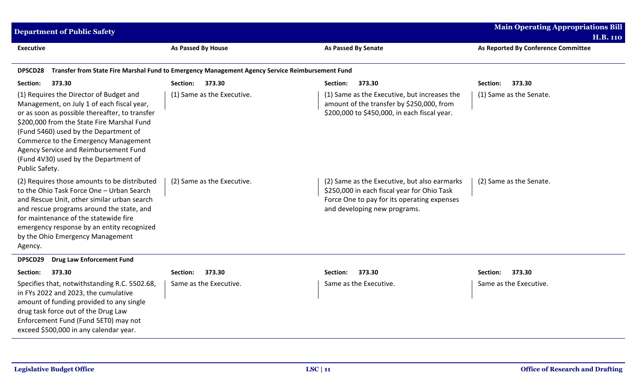| <b>Department of Public Safety</b>                                                                                                                                                                                                                                                                                                                                         |                                                                                                 |                                                                                                                                                                            | <b>Main Operating Appropriations Bill</b><br><b>H.B. 110</b> |
|----------------------------------------------------------------------------------------------------------------------------------------------------------------------------------------------------------------------------------------------------------------------------------------------------------------------------------------------------------------------------|-------------------------------------------------------------------------------------------------|----------------------------------------------------------------------------------------------------------------------------------------------------------------------------|--------------------------------------------------------------|
| <b>Executive</b>                                                                                                                                                                                                                                                                                                                                                           | As Passed By House                                                                              | <b>As Passed By Senate</b>                                                                                                                                                 | As Reported By Conference Committee                          |
| <b>DPSCD28</b>                                                                                                                                                                                                                                                                                                                                                             | Transfer from State Fire Marshal Fund to Emergency Management Agency Service Reimbursement Fund |                                                                                                                                                                            |                                                              |
| 373.30<br>Section:                                                                                                                                                                                                                                                                                                                                                         | 373.30<br>Section:                                                                              | 373.30<br>Section:                                                                                                                                                         | 373.30<br>Section:                                           |
| (1) Requires the Director of Budget and<br>Management, on July 1 of each fiscal year,<br>or as soon as possible thereafter, to transfer<br>\$200,000 from the State Fire Marshal Fund<br>(Fund 5460) used by the Department of<br>Commerce to the Emergency Management<br>Agency Service and Reimbursement Fund<br>(Fund 4V30) used by the Department of<br>Public Safety. | (1) Same as the Executive.                                                                      | (1) Same as the Executive, but increases the<br>amount of the transfer by \$250,000, from<br>\$200,000 to \$450,000, in each fiscal year.                                  | (1) Same as the Senate.                                      |
| (2) Requires those amounts to be distributed<br>to the Ohio Task Force One - Urban Search<br>and Rescue Unit, other similar urban search<br>and rescue programs around the state, and<br>for maintenance of the statewide fire<br>emergency response by an entity recognized<br>by the Ohio Emergency Management<br>Agency.                                                | (2) Same as the Executive.                                                                      | (2) Same as the Executive, but also earmarks<br>\$250,000 in each fiscal year for Ohio Task<br>Force One to pay for its operating expenses<br>and developing new programs. | (2) Same as the Senate.                                      |
| DPSCD29<br><b>Drug Law Enforcement Fund</b>                                                                                                                                                                                                                                                                                                                                |                                                                                                 |                                                                                                                                                                            |                                                              |
| 373.30<br>Section:                                                                                                                                                                                                                                                                                                                                                         | 373.30<br>Section:                                                                              | 373.30<br>Section:                                                                                                                                                         | 373.30<br>Section:                                           |
| Specifies that, notwithstanding R.C. 5502.68,<br>in FYs 2022 and 2023, the cumulative<br>amount of funding provided to any single<br>drug task force out of the Drug Law<br>Enforcement Fund (Fund 5ET0) may not<br>exceed \$500,000 in any calendar year.                                                                                                                 | Same as the Executive.                                                                          | Same as the Executive.                                                                                                                                                     | Same as the Executive.                                       |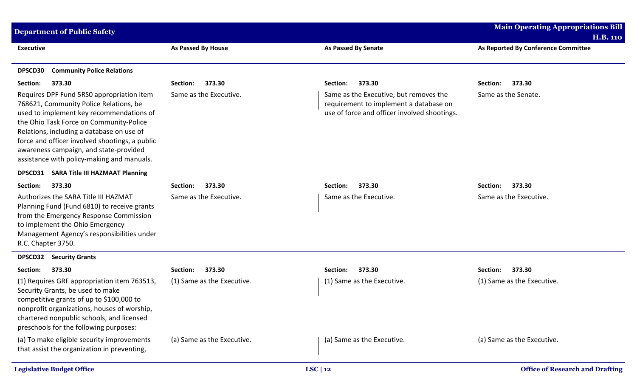| <b>Department of Public Safety</b>                                                                                                                                                                                                                                                                                                                                |                            |                                                                                                                                  | <b>Main Operating Appropriations Bill</b><br><b>H.B. 110</b> |
|-------------------------------------------------------------------------------------------------------------------------------------------------------------------------------------------------------------------------------------------------------------------------------------------------------------------------------------------------------------------|----------------------------|----------------------------------------------------------------------------------------------------------------------------------|--------------------------------------------------------------|
| <b>Executive</b>                                                                                                                                                                                                                                                                                                                                                  | <b>As Passed By House</b>  | <b>As Passed By Senate</b>                                                                                                       | As Reported By Conference Committee                          |
| <b>Community Police Relations</b><br>DPSCD30                                                                                                                                                                                                                                                                                                                      |                            |                                                                                                                                  |                                                              |
| Section:<br>373.30                                                                                                                                                                                                                                                                                                                                                | 373.30<br>Section:         | 373.30<br>Section:                                                                                                               | 373.30<br>Section:                                           |
| Requires DPF Fund 5RS0 appropriation item<br>768621, Community Police Relations, be<br>used to implement key recommendations of<br>the Ohio Task Force on Community-Police<br>Relations, including a database on use of<br>force and officer involved shootings, a public<br>awareness campaign, and state-provided<br>assistance with policy-making and manuals. | Same as the Executive.     | Same as the Executive, but removes the<br>requirement to implement a database on<br>use of force and officer involved shootings. | Same as the Senate.                                          |
| <b>DPSCD31</b><br><b>SARA Title III HAZMAAT Planning</b>                                                                                                                                                                                                                                                                                                          |                            |                                                                                                                                  |                                                              |
| Section:<br>373.30                                                                                                                                                                                                                                                                                                                                                | 373.30<br>Section:         | 373.30<br>Section:                                                                                                               | 373.30<br>Section:                                           |
| Authorizes the SARA Title III HAZMAT<br>Planning Fund (Fund 6810) to receive grants<br>from the Emergency Response Commission<br>to implement the Ohio Emergency<br>Management Agency's responsibilities under<br>R.C. Chapter 3750.                                                                                                                              | Same as the Executive.     | Same as the Executive.                                                                                                           | Same as the Executive.                                       |
| <b>DPSCD32</b><br><b>Security Grants</b>                                                                                                                                                                                                                                                                                                                          |                            |                                                                                                                                  |                                                              |
| 373.30<br>Section:                                                                                                                                                                                                                                                                                                                                                | 373.30<br>Section:         | 373.30<br>Section:                                                                                                               | 373.30<br>Section:                                           |
| (1) Requires GRF appropriation item 763513,<br>Security Grants, be used to make<br>competitive grants of up to \$100,000 to<br>nonprofit organizations, houses of worship,<br>chartered nonpublic schools, and licensed<br>preschools for the following purposes:                                                                                                 | (1) Same as the Executive. | (1) Same as the Executive.                                                                                                       | (1) Same as the Executive.                                   |
| (a) To make eligible security improvements<br>that assist the organization in preventing,                                                                                                                                                                                                                                                                         | (a) Same as the Executive. | (a) Same as the Executive.                                                                                                       | (a) Same as the Executive.                                   |
| <b>Legislative Budget Office</b>                                                                                                                                                                                                                                                                                                                                  |                            | LSC   12                                                                                                                         | <b>Office of Research and Drafting</b>                       |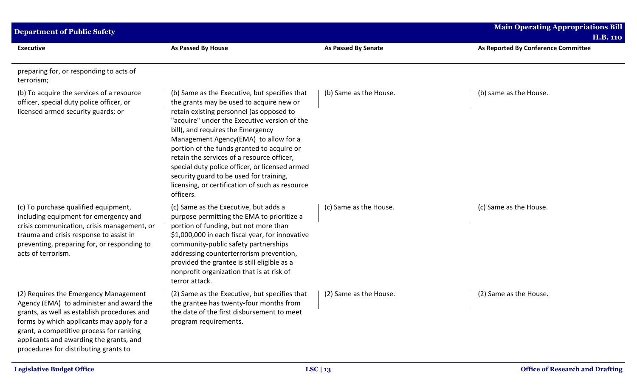| <b>Department of Public Safety</b>                                                                                                                                                                                                                                                                            |                                                                                                                                                                                                                                                                                                                                                                                                                                                                                                                              |                            | <b>Main Operating Appropriations Bill</b><br><b>H.B. 110</b> |
|---------------------------------------------------------------------------------------------------------------------------------------------------------------------------------------------------------------------------------------------------------------------------------------------------------------|------------------------------------------------------------------------------------------------------------------------------------------------------------------------------------------------------------------------------------------------------------------------------------------------------------------------------------------------------------------------------------------------------------------------------------------------------------------------------------------------------------------------------|----------------------------|--------------------------------------------------------------|
| <b>Executive</b>                                                                                                                                                                                                                                                                                              | <b>As Passed By House</b>                                                                                                                                                                                                                                                                                                                                                                                                                                                                                                    | <b>As Passed By Senate</b> | As Reported By Conference Committee                          |
| preparing for, or responding to acts of<br>terrorism;                                                                                                                                                                                                                                                         |                                                                                                                                                                                                                                                                                                                                                                                                                                                                                                                              |                            |                                                              |
| (b) To acquire the services of a resource<br>officer, special duty police officer, or<br>licensed armed security guards; or                                                                                                                                                                                   | (b) Same as the Executive, but specifies that<br>the grants may be used to acquire new or<br>retain existing personnel (as opposed to<br>"acquire" under the Executive version of the<br>bill), and requires the Emergency<br>Management Agency(EMA) to allow for a<br>portion of the funds granted to acquire or<br>retain the services of a resource officer,<br>special duty police officer, or licensed armed<br>security guard to be used for training,<br>licensing, or certification of such as resource<br>officers. | (b) Same as the House.     | (b) same as the House.                                       |
| (c) To purchase qualified equipment,<br>including equipment for emergency and<br>crisis communication, crisis management, or<br>trauma and crisis response to assist in<br>preventing, preparing for, or responding to<br>acts of terrorism.                                                                  | (c) Same as the Executive, but adds a<br>purpose permitting the EMA to prioritize a<br>portion of funding, but not more than<br>\$1,000,000 in each fiscal year, for innovative<br>community-public safety partnerships<br>addressing counterterrorism prevention,<br>provided the grantee is still eligible as a<br>nonprofit organization that is at risk of<br>terror attack.                                                                                                                                             | (c) Same as the House.     | (c) Same as the House.                                       |
| (2) Requires the Emergency Management<br>Agency (EMA) to administer and award the<br>grants, as well as establish procedures and<br>forms by which applicants may apply for a<br>grant, a competitive process for ranking<br>applicants and awarding the grants, and<br>procedures for distributing grants to | (2) Same as the Executive, but specifies that<br>the grantee has twenty-four months from<br>the date of the first disbursement to meet<br>program requirements.                                                                                                                                                                                                                                                                                                                                                              | (2) Same as the House.     | (2) Same as the House.                                       |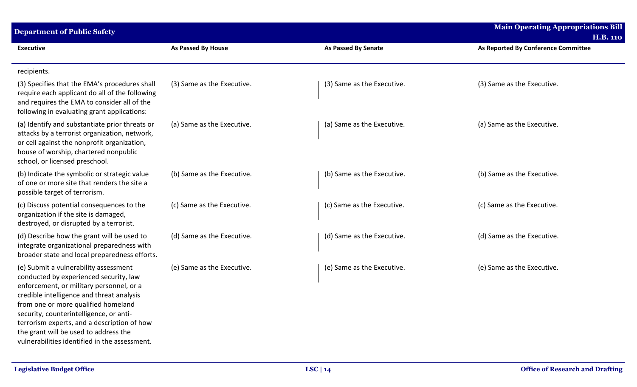| <b>Department of Public Safety</b>                                                                                                                                                                                                                                                                                                                                                                  |                            |                            | <b>Main Operating Appropriations Bill</b><br><b>H.B. 110</b> |
|-----------------------------------------------------------------------------------------------------------------------------------------------------------------------------------------------------------------------------------------------------------------------------------------------------------------------------------------------------------------------------------------------------|----------------------------|----------------------------|--------------------------------------------------------------|
| <b>Executive</b>                                                                                                                                                                                                                                                                                                                                                                                    | As Passed By House         | <b>As Passed By Senate</b> | As Reported By Conference Committee                          |
| recipients.                                                                                                                                                                                                                                                                                                                                                                                         |                            |                            |                                                              |
| (3) Specifies that the EMA's procedures shall<br>require each applicant do all of the following<br>and requires the EMA to consider all of the<br>following in evaluating grant applications:                                                                                                                                                                                                       | (3) Same as the Executive. | (3) Same as the Executive. | (3) Same as the Executive.                                   |
| (a) Identify and substantiate prior threats or<br>attacks by a terrorist organization, network,<br>or cell against the nonprofit organization,<br>house of worship, chartered nonpublic<br>school, or licensed preschool.                                                                                                                                                                           | (a) Same as the Executive. | (a) Same as the Executive. | (a) Same as the Executive.                                   |
| (b) Indicate the symbolic or strategic value<br>of one or more site that renders the site a<br>possible target of terrorism.                                                                                                                                                                                                                                                                        | (b) Same as the Executive. | (b) Same as the Executive. | (b) Same as the Executive.                                   |
| (c) Discuss potential consequences to the<br>organization if the site is damaged,<br>destroyed, or disrupted by a terrorist.                                                                                                                                                                                                                                                                        | (c) Same as the Executive. | (c) Same as the Executive. | (c) Same as the Executive.                                   |
| (d) Describe how the grant will be used to<br>integrate organizational preparedness with<br>broader state and local preparedness efforts.                                                                                                                                                                                                                                                           | (d) Same as the Executive. | (d) Same as the Executive. | (d) Same as the Executive.                                   |
| (e) Submit a vulnerability assessment<br>conducted by experienced security, law<br>enforcement, or military personnel, or a<br>credible intelligence and threat analysis<br>from one or more qualified homeland<br>security, counterintelligence, or anti-<br>terrorism experts, and a description of how<br>the grant will be used to address the<br>vulnerabilities identified in the assessment. | (e) Same as the Executive. | (e) Same as the Executive. | (e) Same as the Executive.                                   |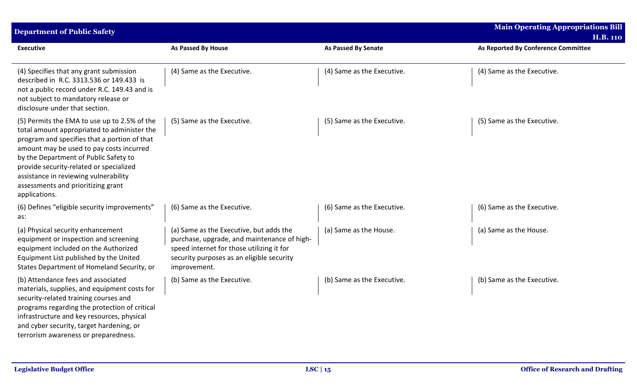| <b>Department of Public Safety</b>                                                                                                                                                                                                                                                                                                                                          |                                                                                                                                                                                                  |                            | <b>Main Operating Appropriations Bill</b><br><b>H.B. 110</b> |
|-----------------------------------------------------------------------------------------------------------------------------------------------------------------------------------------------------------------------------------------------------------------------------------------------------------------------------------------------------------------------------|--------------------------------------------------------------------------------------------------------------------------------------------------------------------------------------------------|----------------------------|--------------------------------------------------------------|
| <b>Executive</b>                                                                                                                                                                                                                                                                                                                                                            | As Passed By House                                                                                                                                                                               | As Passed By Senate        | As Reported By Conference Committee                          |
| (4) Specifies that any grant submission<br>described in R.C. 3313.536 or 149.433 is<br>not a public record under R.C. 149.43 and is<br>not subject to mandatory release or<br>disclosure under that section.                                                                                                                                                                | (4) Same as the Executive.                                                                                                                                                                       | (4) Same as the Executive. | (4) Same as the Executive.                                   |
| (5) Permits the EMA to use up to 2.5% of the<br>total amount appropriated to administer the<br>program and specifies that a portion of that<br>amount may be used to pay costs incurred<br>by the Department of Public Safety to<br>provide security-related or specialized<br>assistance in reviewing vulnerability<br>assessments and prioritizing grant<br>applications. | (5) Same as the Executive.                                                                                                                                                                       | (5) Same as the Executive. | (5) Same as the Executive.                                   |
| (6) Defines "eligible security improvements"<br>as:                                                                                                                                                                                                                                                                                                                         | (6) Same as the Executive.                                                                                                                                                                       | (6) Same as the Executive. | (6) Same as the Executive.                                   |
| (a) Physical security enhancement<br>equipment or inspection and screening<br>equipment included on the Authorized<br>Equipment List published by the United<br>States Department of Homeland Security, or                                                                                                                                                                  | (a) Same as the Executive, but adds the<br>purchase, upgrade, and maintenance of high-<br>speed internet for those utilizing it for<br>security purposes as an eligible security<br>improvement. | (a) Same as the House.     | (a) Same as the House.                                       |
| (b) Attendance fees and associated<br>materials, supplies, and equipment costs for<br>security-related training courses and<br>programs regarding the protection of critical<br>infrastructure and key resources, physical<br>and cyber security, target hardening, or<br>terrorism awareness or preparedness.                                                              | (b) Same as the Executive.                                                                                                                                                                       | (b) Same as the Executive. | (b) Same as the Executive.                                   |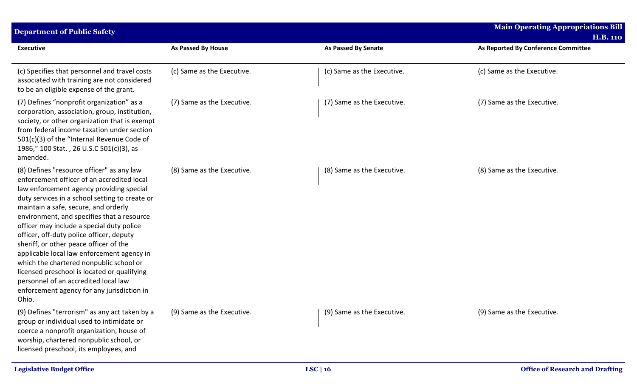| <b>Department of Public Safety</b>                                                                                                                                                                                                                                                                                                                                                                                                                                                                                                                                                                                                                    |                            |                            | <b>Main Operating Appropriations Bill</b><br><b>H.B. 110</b> |
|-------------------------------------------------------------------------------------------------------------------------------------------------------------------------------------------------------------------------------------------------------------------------------------------------------------------------------------------------------------------------------------------------------------------------------------------------------------------------------------------------------------------------------------------------------------------------------------------------------------------------------------------------------|----------------------------|----------------------------|--------------------------------------------------------------|
| <b>Executive</b>                                                                                                                                                                                                                                                                                                                                                                                                                                                                                                                                                                                                                                      | <b>As Passed By House</b>  | <b>As Passed By Senate</b> | As Reported By Conference Committee                          |
| (c) Specifies that personnel and travel costs<br>associated with training are not considered<br>to be an eligible expense of the grant.                                                                                                                                                                                                                                                                                                                                                                                                                                                                                                               | (c) Same as the Executive. | (c) Same as the Executive. | (c) Same as the Executive.                                   |
| (7) Defines "nonprofit organization" as a<br>corporation, association, group, institution,<br>society, or other organization that is exempt<br>from federal income taxation under section<br>501(c)(3) of the "Internal Revenue Code of<br>1986," 100 Stat., 26 U.S.C 501(c)(3), as<br>amended.                                                                                                                                                                                                                                                                                                                                                       | (7) Same as the Executive. | (7) Same as the Executive. | (7) Same as the Executive.                                   |
| (8) Defines "resource officer" as any law<br>enforcement officer of an accredited local<br>law enforcement agency providing special<br>duty services in a school setting to create or<br>maintain a safe, secure, and orderly<br>environment, and specifies that a resource<br>officer may include a special duty police<br>officer, off-duty police officer, deputy<br>sheriff, or other peace officer of the<br>applicable local law enforcement agency in<br>which the chartered nonpublic school or<br>licensed preschool is located or qualifying<br>personnel of an accredited local law<br>enforcement agency for any jurisdiction in<br>Ohio. | (8) Same as the Executive. | (8) Same as the Executive. | (8) Same as the Executive.                                   |
| (9) Defines "terrorism" as any act taken by a<br>group or individual used to intimidate or<br>coerce a nonprofit organization, house of<br>worship, chartered nonpublic school, or<br>licensed preschool, its employees, and                                                                                                                                                                                                                                                                                                                                                                                                                          | (9) Same as the Executive. | (9) Same as the Executive. | (9) Same as the Executive.                                   |
| <b>Legislative Budget Office</b>                                                                                                                                                                                                                                                                                                                                                                                                                                                                                                                                                                                                                      |                            | LSC   16                   | <b>Office of Research and Drafting</b>                       |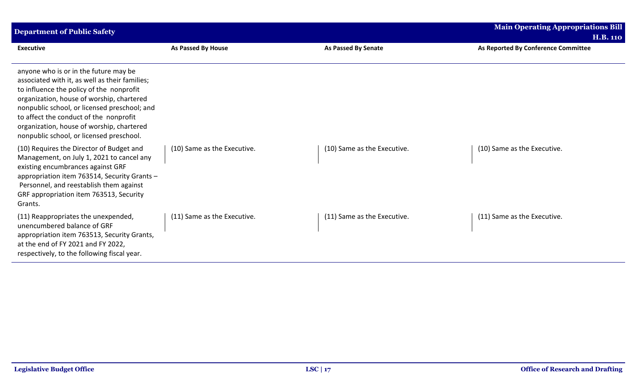| <b>Department of Public Safety</b>                                                                                                                                                                                                                                                                                                                                  |                             |                             | <b>Main Operating Appropriations Bill</b> |
|---------------------------------------------------------------------------------------------------------------------------------------------------------------------------------------------------------------------------------------------------------------------------------------------------------------------------------------------------------------------|-----------------------------|-----------------------------|-------------------------------------------|
|                                                                                                                                                                                                                                                                                                                                                                     |                             |                             | <b>H.B. 110</b>                           |
| <b>Executive</b>                                                                                                                                                                                                                                                                                                                                                    | As Passed By House          | <b>As Passed By Senate</b>  | As Reported By Conference Committee       |
| anyone who is or in the future may be<br>associated with it, as well as their families;<br>to influence the policy of the nonprofit<br>organization, house of worship, chartered<br>nonpublic school, or licensed preschool; and<br>to affect the conduct of the nonprofit<br>organization, house of worship, chartered<br>nonpublic school, or licensed preschool. |                             |                             |                                           |
| (10) Requires the Director of Budget and<br>Management, on July 1, 2021 to cancel any<br>existing encumbrances against GRF<br>appropriation item 763514, Security Grants -<br>Personnel, and reestablish them against<br>GRF appropriation item 763513, Security<br>Grants.                                                                                         | (10) Same as the Executive. | (10) Same as the Executive. | (10) Same as the Executive.               |
| (11) Reappropriates the unexpended,<br>unencumbered balance of GRF<br>appropriation item 763513, Security Grants,<br>at the end of FY 2021 and FY 2022,<br>respectively, to the following fiscal year.                                                                                                                                                              | (11) Same as the Executive. | (11) Same as the Executive. | (11) Same as the Executive.               |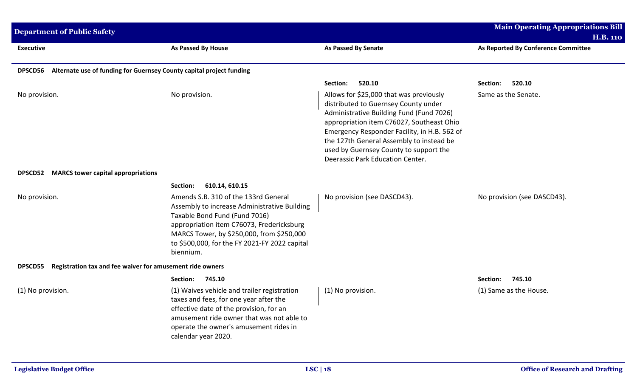| <b>Department of Public Safety</b>                          |                                                                                                                                                                                                                                                                               |                                                                                                                                                                                                                                                                                                                                                    | <b>Main Operating Appropriations Bill</b><br><b>H.B. 110</b> |
|-------------------------------------------------------------|-------------------------------------------------------------------------------------------------------------------------------------------------------------------------------------------------------------------------------------------------------------------------------|----------------------------------------------------------------------------------------------------------------------------------------------------------------------------------------------------------------------------------------------------------------------------------------------------------------------------------------------------|--------------------------------------------------------------|
| <b>Executive</b>                                            | As Passed By House                                                                                                                                                                                                                                                            | As Passed By Senate                                                                                                                                                                                                                                                                                                                                | As Reported By Conference Committee                          |
| <b>DPSCD56</b>                                              | Alternate use of funding for Guernsey County capital project funding                                                                                                                                                                                                          |                                                                                                                                                                                                                                                                                                                                                    |                                                              |
|                                                             |                                                                                                                                                                                                                                                                               | 520.10<br>Section:                                                                                                                                                                                                                                                                                                                                 | 520.10<br>Section:                                           |
| No provision.                                               | No provision.                                                                                                                                                                                                                                                                 | Allows for \$25,000 that was previously<br>distributed to Guernsey County under<br>Administrative Building Fund (Fund 7026)<br>appropriation item C76027, Southeast Ohio<br>Emergency Responder Facility, in H.B. 562 of<br>the 127th General Assembly to instead be<br>used by Guernsey County to support the<br>Deerassic Park Education Center. | Same as the Senate.                                          |
| <b>DPSCD52</b><br><b>MARCS tower capital appropriations</b> |                                                                                                                                                                                                                                                                               |                                                                                                                                                                                                                                                                                                                                                    |                                                              |
|                                                             | 610.14, 610.15<br>Section:                                                                                                                                                                                                                                                    |                                                                                                                                                                                                                                                                                                                                                    |                                                              |
| No provision.                                               | Amends S.B. 310 of the 133rd General<br>Assembly to increase Administrative Building<br>Taxable Bond Fund (Fund 7016)<br>appropriation item C76073, Fredericksburg<br>MARCS Tower, by \$250,000, from \$250,000<br>to \$500,000, for the FY 2021-FY 2022 capital<br>biennium. | No provision (see DASCD43).                                                                                                                                                                                                                                                                                                                        | No provision (see DASCD43).                                  |
| <b>DPSCD55</b>                                              | Registration tax and fee waiver for amusement ride owners                                                                                                                                                                                                                     |                                                                                                                                                                                                                                                                                                                                                    |                                                              |
|                                                             | 745.10<br>Section:                                                                                                                                                                                                                                                            |                                                                                                                                                                                                                                                                                                                                                    | 745.10<br>Section:                                           |
| (1) No provision.                                           | (1) Waives vehicle and trailer registration<br>taxes and fees, for one year after the<br>effective date of the provision, for an<br>amusement ride owner that was not able to<br>operate the owner's amusement rides in<br>calendar year 2020.                                | (1) No provision.                                                                                                                                                                                                                                                                                                                                  | (1) Same as the House.                                       |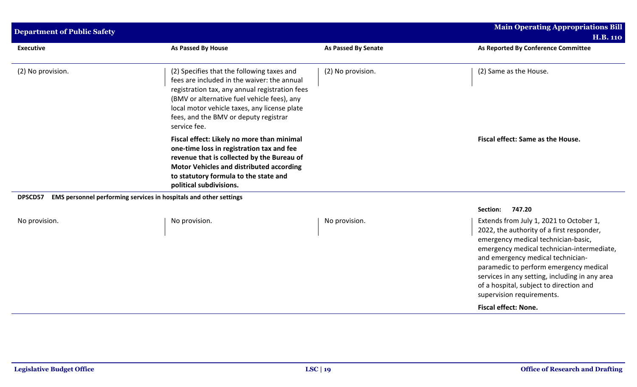| <b>Department of Public Safety</b> |                                                                                                                                                                                                                                                                                                     |                            | <b>Main Operating Appropriations Bill</b><br><b>H.B. 110</b>                                                                                                                                                                                                                                                                                                                                             |
|------------------------------------|-----------------------------------------------------------------------------------------------------------------------------------------------------------------------------------------------------------------------------------------------------------------------------------------------------|----------------------------|----------------------------------------------------------------------------------------------------------------------------------------------------------------------------------------------------------------------------------------------------------------------------------------------------------------------------------------------------------------------------------------------------------|
| <b>Executive</b>                   | As Passed By House                                                                                                                                                                                                                                                                                  | <b>As Passed By Senate</b> | As Reported By Conference Committee                                                                                                                                                                                                                                                                                                                                                                      |
| (2) No provision.                  | (2) Specifies that the following taxes and<br>fees are included in the waiver: the annual<br>registration tax, any annual registration fees<br>(BMV or alternative fuel vehicle fees), any<br>local motor vehicle taxes, any license plate<br>fees, and the BMV or deputy registrar<br>service fee. | (2) No provision.          | (2) Same as the House.                                                                                                                                                                                                                                                                                                                                                                                   |
|                                    | Fiscal effect: Likely no more than minimal<br>one-time loss in registration tax and fee<br>revenue that is collected by the Bureau of<br><b>Motor Vehicles and distributed according</b><br>to statutory formula to the state and<br>political subdivisions.                                        |                            | Fiscal effect: Same as the House.                                                                                                                                                                                                                                                                                                                                                                        |
| DPSCD57                            | EMS personnel performing services in hospitals and other settings                                                                                                                                                                                                                                   |                            |                                                                                                                                                                                                                                                                                                                                                                                                          |
| No provision.                      | No provision.                                                                                                                                                                                                                                                                                       | No provision.              | Section:<br>747.20<br>Extends from July 1, 2021 to October 1,<br>2022, the authority of a first responder,<br>emergency medical technician-basic,<br>emergency medical technician-intermediate,<br>and emergency medical technician-<br>paramedic to perform emergency medical<br>services in any setting, including in any area<br>of a hospital, subject to direction and<br>supervision requirements. |
|                                    |                                                                                                                                                                                                                                                                                                     |                            | <b>Fiscal effect: None.</b>                                                                                                                                                                                                                                                                                                                                                                              |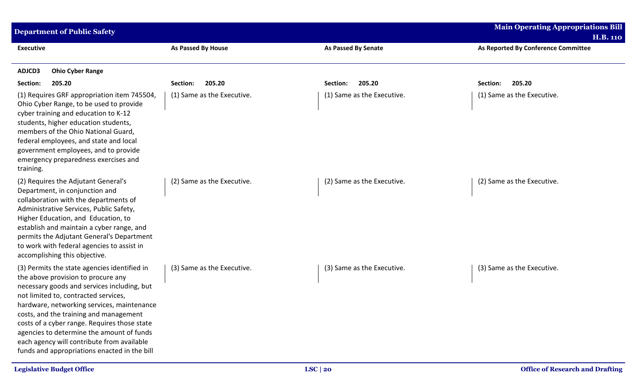| <b>Department of Public Safety</b>                                                                                                                                                                                                                                                                                                                                                                                                                           |                            |                            | <b>Main Operating Appropriations Bill</b> |
|--------------------------------------------------------------------------------------------------------------------------------------------------------------------------------------------------------------------------------------------------------------------------------------------------------------------------------------------------------------------------------------------------------------------------------------------------------------|----------------------------|----------------------------|-------------------------------------------|
|                                                                                                                                                                                                                                                                                                                                                                                                                                                              |                            |                            | <b>H.B. 110</b>                           |
| <b>Executive</b>                                                                                                                                                                                                                                                                                                                                                                                                                                             | As Passed By House         | <b>As Passed By Senate</b> | As Reported By Conference Committee       |
| ADJCD3<br><b>Ohio Cyber Range</b>                                                                                                                                                                                                                                                                                                                                                                                                                            |                            |                            |                                           |
| Section:<br>205.20                                                                                                                                                                                                                                                                                                                                                                                                                                           | 205.20<br>Section:         | 205.20<br>Section:         | 205.20<br>Section:                        |
| (1) Requires GRF appropriation item 745504,<br>Ohio Cyber Range, to be used to provide<br>cyber training and education to K-12<br>students, higher education students,<br>members of the Ohio National Guard,<br>federal employees, and state and local<br>government employees, and to provide<br>emergency preparedness exercises and<br>training.                                                                                                         | (1) Same as the Executive. | (1) Same as the Executive. | (1) Same as the Executive.                |
| (2) Requires the Adjutant General's<br>Department, in conjunction and<br>collaboration with the departments of<br>Administrative Services, Public Safety,<br>Higher Education, and Education, to<br>establish and maintain a cyber range, and<br>permits the Adjutant General's Department<br>to work with federal agencies to assist in<br>accomplishing this objective.                                                                                    | (2) Same as the Executive. | (2) Same as the Executive. | (2) Same as the Executive.                |
| (3) Permits the state agencies identified in<br>the above provision to procure any<br>necessary goods and services including, but<br>not limited to, contracted services,<br>hardware, networking services, maintenance<br>costs, and the training and management<br>costs of a cyber range. Requires those state<br>agencies to determine the amount of funds<br>each agency will contribute from available<br>funds and appropriations enacted in the bill | (3) Same as the Executive. | (3) Same as the Executive. | (3) Same as the Executive.                |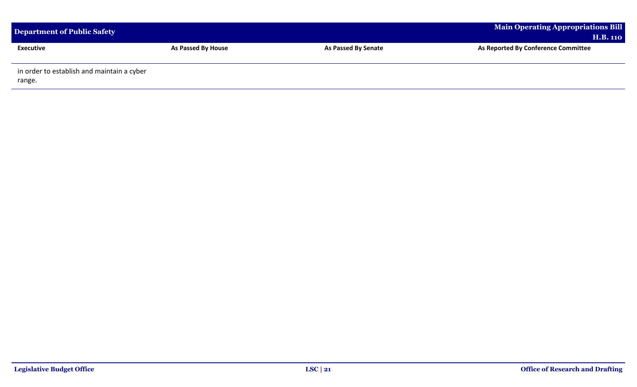| Department of Public Safety                          |                           |                     | <b>Main Operating Appropriations Bill</b><br><b>H.B. 110</b> |
|------------------------------------------------------|---------------------------|---------------------|--------------------------------------------------------------|
| <b>Executive</b>                                     | <b>As Passed By House</b> | As Passed By Senate | As Reported By Conference Committee                          |
| in order to establish and maintain a cyber<br>range. |                           |                     |                                                              |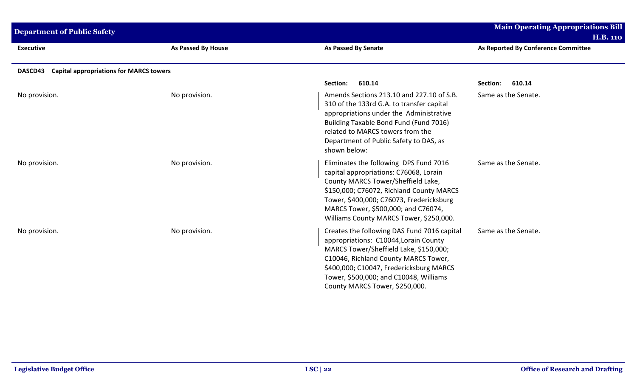| <b>Department of Public Safety</b>                        |                           |                                                                                                                                                                                                                                                                                                  | <b>Main Operating Appropriations Bill</b><br><b>H.B. 110</b> |
|-----------------------------------------------------------|---------------------------|--------------------------------------------------------------------------------------------------------------------------------------------------------------------------------------------------------------------------------------------------------------------------------------------------|--------------------------------------------------------------|
| <b>Executive</b>                                          | <b>As Passed By House</b> | <b>As Passed By Senate</b>                                                                                                                                                                                                                                                                       | As Reported By Conference Committee                          |
| <b>Capital appropriations for MARCS towers</b><br>DASCD43 |                           |                                                                                                                                                                                                                                                                                                  |                                                              |
|                                                           |                           | 610.14<br>Section:                                                                                                                                                                                                                                                                               | 610.14<br>Section:                                           |
| No provision.                                             | No provision.             | Amends Sections 213.10 and 227.10 of S.B.<br>310 of the 133rd G.A. to transfer capital<br>appropriations under the Administrative<br>Building Taxable Bond Fund (Fund 7016)<br>related to MARCS towers from the<br>Department of Public Safety to DAS, as<br>shown below:                        | Same as the Senate.                                          |
| No provision.                                             | No provision.             | Eliminates the following DPS Fund 7016<br>capital appropriations: C76068, Lorain<br>County MARCS Tower/Sheffield Lake,<br>\$150,000; C76072, Richland County MARCS<br>Tower, \$400,000; C76073, Fredericksburg<br>MARCS Tower, \$500,000; and C76074,<br>Williams County MARCS Tower, \$250,000. | Same as the Senate.                                          |
| No provision.                                             | No provision.             | Creates the following DAS Fund 7016 capital<br>appropriations: C10044, Lorain County<br>MARCS Tower/Sheffield Lake, \$150,000;<br>C10046, Richland County MARCS Tower,<br>\$400,000; C10047, Fredericksburg MARCS<br>Tower, \$500,000; and C10048, Williams<br>County MARCS Tower, \$250,000.    | Same as the Senate.                                          |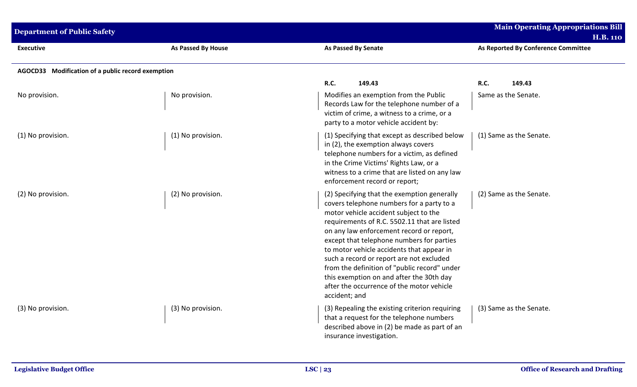| <b>Department of Public Safety</b>                |                    |                                                                                                                                                                                                                                                                                                                                                                                                                                                                                                                               | <b>Main Operating Appropriations Bill</b><br><b>H.B. 110</b> |
|---------------------------------------------------|--------------------|-------------------------------------------------------------------------------------------------------------------------------------------------------------------------------------------------------------------------------------------------------------------------------------------------------------------------------------------------------------------------------------------------------------------------------------------------------------------------------------------------------------------------------|--------------------------------------------------------------|
| <b>Executive</b>                                  | As Passed By House | <b>As Passed By Senate</b>                                                                                                                                                                                                                                                                                                                                                                                                                                                                                                    | As Reported By Conference Committee                          |
| AGOCD33 Modification of a public record exemption |                    |                                                                                                                                                                                                                                                                                                                                                                                                                                                                                                                               |                                                              |
|                                                   |                    | R.C.<br>149.43                                                                                                                                                                                                                                                                                                                                                                                                                                                                                                                | R.C.<br>149.43                                               |
| No provision.                                     | No provision.      | Modifies an exemption from the Public<br>Records Law for the telephone number of a<br>victim of crime, a witness to a crime, or a<br>party to a motor vehicle accident by:                                                                                                                                                                                                                                                                                                                                                    | Same as the Senate.                                          |
| (1) No provision.                                 | (1) No provision.  | (1) Specifying that except as described below<br>in (2), the exemption always covers<br>telephone numbers for a victim, as defined<br>in the Crime Victims' Rights Law, or a<br>witness to a crime that are listed on any law<br>enforcement record or report;                                                                                                                                                                                                                                                                | (1) Same as the Senate.                                      |
| (2) No provision.                                 | (2) No provision.  | (2) Specifying that the exemption generally<br>covers telephone numbers for a party to a<br>motor vehicle accident subject to the<br>requirements of R.C. 5502.11 that are listed<br>on any law enforcement record or report,<br>except that telephone numbers for parties<br>to motor vehicle accidents that appear in<br>such a record or report are not excluded<br>from the definition of "public record" under<br>this exemption on and after the 30th day<br>after the occurrence of the motor vehicle<br>accident; and | (2) Same as the Senate.                                      |
| (3) No provision.                                 | (3) No provision.  | (3) Repealing the existing criterion requiring<br>that a request for the telephone numbers<br>described above in (2) be made as part of an<br>insurance investigation.                                                                                                                                                                                                                                                                                                                                                        | (3) Same as the Senate.                                      |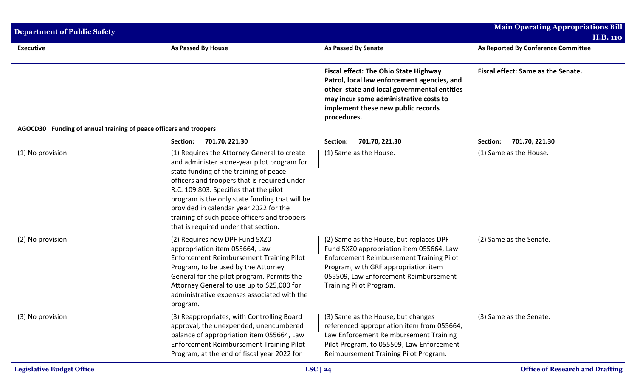| <b>Department of Public Safety</b>                                |                                                                                                                                                                                                                                                                                                                                                                                                                    |                                                                                                                                                                                                                                                    | <b>Main Operating Appropriations Bill</b><br><b>H.B. 110</b> |
|-------------------------------------------------------------------|--------------------------------------------------------------------------------------------------------------------------------------------------------------------------------------------------------------------------------------------------------------------------------------------------------------------------------------------------------------------------------------------------------------------|----------------------------------------------------------------------------------------------------------------------------------------------------------------------------------------------------------------------------------------------------|--------------------------------------------------------------|
| <b>Executive</b>                                                  | As Passed By House                                                                                                                                                                                                                                                                                                                                                                                                 | <b>As Passed By Senate</b>                                                                                                                                                                                                                         | As Reported By Conference Committee                          |
|                                                                   |                                                                                                                                                                                                                                                                                                                                                                                                                    | <b>Fiscal effect: The Ohio State Highway</b><br>Patrol, local law enforcement agencies, and<br>other state and local governmental entities<br>may incur some administrative costs to<br>implement these new public records<br>procedures.          | Fiscal effect: Same as the Senate.                           |
| AGOCD30 Funding of annual training of peace officers and troopers |                                                                                                                                                                                                                                                                                                                                                                                                                    |                                                                                                                                                                                                                                                    |                                                              |
|                                                                   | 701.70, 221.30<br>Section:                                                                                                                                                                                                                                                                                                                                                                                         | 701.70, 221.30<br>Section:                                                                                                                                                                                                                         | Section:<br>701.70, 221.30                                   |
| (1) No provision.                                                 | (1) Requires the Attorney General to create<br>and administer a one-year pilot program for<br>state funding of the training of peace<br>officers and troopers that is required under<br>R.C. 109.803. Specifies that the pilot<br>program is the only state funding that will be<br>provided in calendar year 2022 for the<br>training of such peace officers and troopers<br>that is required under that section. | (1) Same as the House.                                                                                                                                                                                                                             | (1) Same as the House.                                       |
| (2) No provision.                                                 | (2) Requires new DPF Fund 5XZ0<br>appropriation item 055664, Law<br><b>Enforcement Reimbursement Training Pilot</b><br>Program, to be used by the Attorney<br>General for the pilot program. Permits the<br>Attorney General to use up to \$25,000 for<br>administrative expenses associated with the<br>program.                                                                                                  | (2) Same as the House, but replaces DPF<br>Fund 5XZ0 appropriation item 055664, Law<br><b>Enforcement Reimbursement Training Pilot</b><br>Program, with GRF appropriation item<br>055509, Law Enforcement Reimbursement<br>Training Pilot Program. | (2) Same as the Senate.                                      |
| (3) No provision.                                                 | (3) Reappropriates, with Controlling Board<br>approval, the unexpended, unencumbered<br>balance of appropriation item 055664, Law<br>Enforcement Reimbursement Training Pilot<br>Program, at the end of fiscal year 2022 for                                                                                                                                                                                       | (3) Same as the House, but changes<br>referenced appropriation item from 055664,<br>Law Enforcement Reimbursement Training<br>Pilot Program, to 055509, Law Enforcement<br>Reimbursement Training Pilot Program.                                   | (3) Same as the Senate.                                      |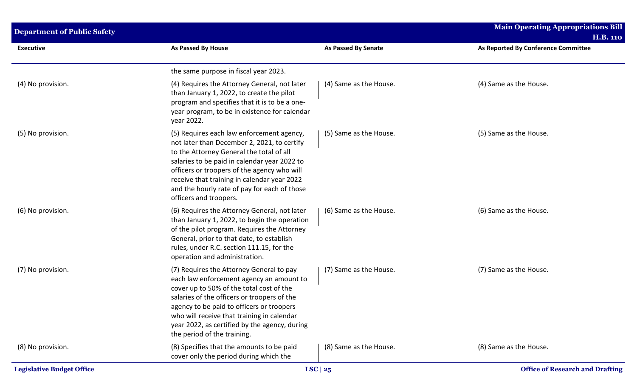| <b>Department of Public Safety</b> |                                                                                                                                                                                                                                                                                                                                                              |                            | <b>Main Operating Appropriations Bill</b> |  |
|------------------------------------|--------------------------------------------------------------------------------------------------------------------------------------------------------------------------------------------------------------------------------------------------------------------------------------------------------------------------------------------------------------|----------------------------|-------------------------------------------|--|
|                                    |                                                                                                                                                                                                                                                                                                                                                              |                            | <b>H.B. 110</b>                           |  |
| <b>Executive</b>                   | As Passed By House                                                                                                                                                                                                                                                                                                                                           | <b>As Passed By Senate</b> | As Reported By Conference Committee       |  |
|                                    | the same purpose in fiscal year 2023.                                                                                                                                                                                                                                                                                                                        |                            |                                           |  |
| (4) No provision.                  | (4) Requires the Attorney General, not later<br>than January 1, 2022, to create the pilot<br>program and specifies that it is to be a one-<br>year program, to be in existence for calendar<br>year 2022.                                                                                                                                                    | (4) Same as the House.     | (4) Same as the House.                    |  |
| (5) No provision.                  | (5) Requires each law enforcement agency,<br>not later than December 2, 2021, to certify<br>to the Attorney General the total of all<br>salaries to be paid in calendar year 2022 to<br>officers or troopers of the agency who will<br>receive that training in calendar year 2022<br>and the hourly rate of pay for each of those<br>officers and troopers. | (5) Same as the House.     | (5) Same as the House.                    |  |
| (6) No provision.                  | (6) Requires the Attorney General, not later<br>than January 1, 2022, to begin the operation<br>of the pilot program. Requires the Attorney<br>General, prior to that date, to establish<br>rules, under R.C. section 111.15, for the<br>operation and administration.                                                                                       | (6) Same as the House.     | (6) Same as the House.                    |  |
| (7) No provision.                  | (7) Requires the Attorney General to pay<br>each law enforcement agency an amount to<br>cover up to 50% of the total cost of the<br>salaries of the officers or troopers of the<br>agency to be paid to officers or troopers<br>who will receive that training in calendar<br>year 2022, as certified by the agency, during<br>the period of the training.   | (7) Same as the House.     | (7) Same as the House.                    |  |
| (8) No provision.                  | (8) Specifies that the amounts to be paid<br>cover only the period during which the                                                                                                                                                                                                                                                                          | (8) Same as the House.     | (8) Same as the House.                    |  |
| <b>Legislative Budget Office</b>   |                                                                                                                                                                                                                                                                                                                                                              | LSC $ 25$                  | <b>Office of Research and Drafting</b>    |  |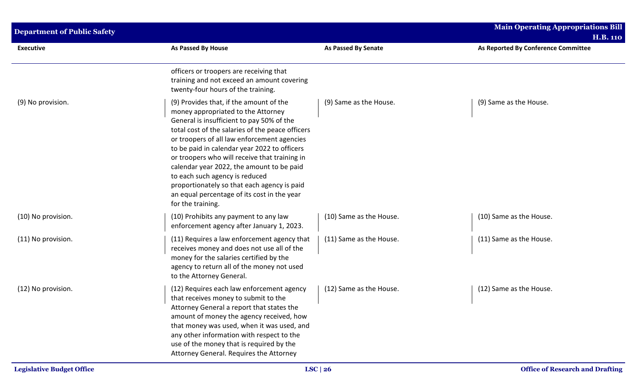| <b>Department of Public Safety</b> |                                                                                                                                                                                                                                                                                                                                                                                                                                                                                                                                  |                            | <b>Main Operating Appropriations Bill</b><br><b>H.B. 110</b> |  |
|------------------------------------|----------------------------------------------------------------------------------------------------------------------------------------------------------------------------------------------------------------------------------------------------------------------------------------------------------------------------------------------------------------------------------------------------------------------------------------------------------------------------------------------------------------------------------|----------------------------|--------------------------------------------------------------|--|
| <b>Executive</b>                   | As Passed By House                                                                                                                                                                                                                                                                                                                                                                                                                                                                                                               | <b>As Passed By Senate</b> | As Reported By Conference Committee                          |  |
|                                    | officers or troopers are receiving that<br>training and not exceed an amount covering<br>twenty-four hours of the training.                                                                                                                                                                                                                                                                                                                                                                                                      |                            |                                                              |  |
| (9) No provision.                  | (9) Provides that, if the amount of the<br>money appropriated to the Attorney<br>General is insufficient to pay 50% of the<br>total cost of the salaries of the peace officers<br>or troopers of all law enforcement agencies<br>to be paid in calendar year 2022 to officers<br>or troopers who will receive that training in<br>calendar year 2022, the amount to be paid<br>to each such agency is reduced<br>proportionately so that each agency is paid<br>an equal percentage of its cost in the year<br>for the training. | (9) Same as the House.     | (9) Same as the House.                                       |  |
| (10) No provision.                 | (10) Prohibits any payment to any law<br>enforcement agency after January 1, 2023.                                                                                                                                                                                                                                                                                                                                                                                                                                               | (10) Same as the House.    | (10) Same as the House.                                      |  |
| (11) No provision.                 | (11) Requires a law enforcement agency that<br>receives money and does not use all of the<br>money for the salaries certified by the<br>agency to return all of the money not used<br>to the Attorney General.                                                                                                                                                                                                                                                                                                                   | (11) Same as the House.    | (11) Same as the House.                                      |  |
| (12) No provision.                 | (12) Requires each law enforcement agency<br>that receives money to submit to the<br>Attorney General a report that states the<br>amount of money the agency received, how<br>that money was used, when it was used, and<br>any other information with respect to the<br>use of the money that is required by the<br>Attorney General. Requires the Attorney                                                                                                                                                                     | (12) Same as the House.    | (12) Same as the House.                                      |  |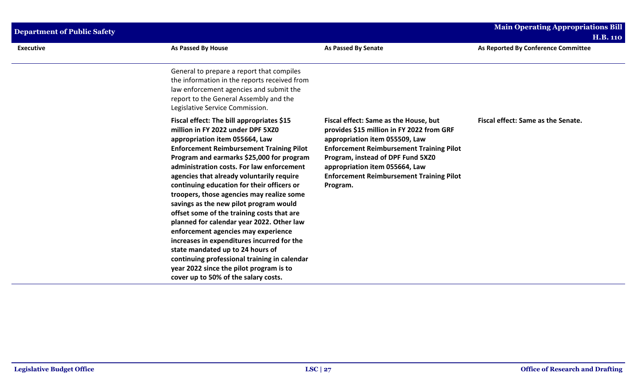| <b>Executive</b> | <b>As Passed By House</b>                                                                                                                                                                                                                                                                                                                                                                                                                                                                                                                                                                                                                                                                                                                                                                              | <b>As Passed By Senate</b>                                                                                                                                                                                                                                                                                    | As Reported By Conference Committee |  |
|------------------|--------------------------------------------------------------------------------------------------------------------------------------------------------------------------------------------------------------------------------------------------------------------------------------------------------------------------------------------------------------------------------------------------------------------------------------------------------------------------------------------------------------------------------------------------------------------------------------------------------------------------------------------------------------------------------------------------------------------------------------------------------------------------------------------------------|---------------------------------------------------------------------------------------------------------------------------------------------------------------------------------------------------------------------------------------------------------------------------------------------------------------|-------------------------------------|--|
|                  | General to prepare a report that compiles<br>the information in the reports received from<br>law enforcement agencies and submit the<br>report to the General Assembly and the<br>Legislative Service Commission.                                                                                                                                                                                                                                                                                                                                                                                                                                                                                                                                                                                      |                                                                                                                                                                                                                                                                                                               |                                     |  |
|                  | Fiscal effect: The bill appropriates \$15<br>million in FY 2022 under DPF 5XZ0<br>appropriation item 055664, Law<br><b>Enforcement Reimbursement Training Pilot</b><br>Program and earmarks \$25,000 for program<br>administration costs. For law enforcement<br>agencies that already voluntarily require<br>continuing education for their officers or<br>troopers, those agencies may realize some<br>savings as the new pilot program would<br>offset some of the training costs that are<br>planned for calendar year 2022. Other law<br>enforcement agencies may experience<br>increases in expenditures incurred for the<br>state mandated up to 24 hours of<br>continuing professional training in calendar<br>year 2022 since the pilot program is to<br>cover up to 50% of the salary costs. | Fiscal effect: Same as the House, but<br>provides \$15 million in FY 2022 from GRF<br>appropriation item 055509, Law<br><b>Enforcement Reimbursement Training Pilot</b><br>Program, instead of DPF Fund 5XZ0<br>appropriation item 055664, Law<br><b>Enforcement Reimbursement Training Pilot</b><br>Program. | Fiscal effect: Same as the Senate.  |  |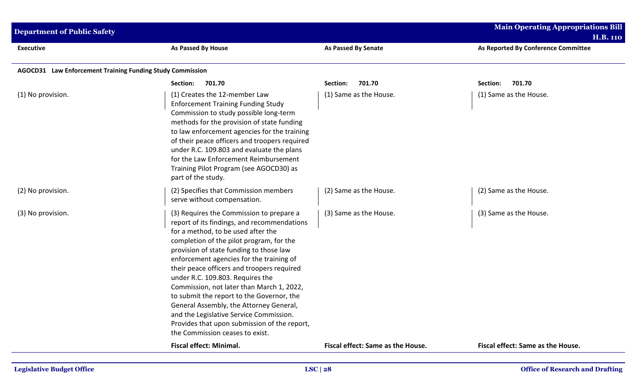| <b>Department of Public Safety</b>                        |                                                                                                                                                                                                                                                                                                                                                                                                                                                                                                                                                                                                                       |                                   | <b>Main Operating Appropriations Bill</b><br><b>H.B. 110</b> |
|-----------------------------------------------------------|-----------------------------------------------------------------------------------------------------------------------------------------------------------------------------------------------------------------------------------------------------------------------------------------------------------------------------------------------------------------------------------------------------------------------------------------------------------------------------------------------------------------------------------------------------------------------------------------------------------------------|-----------------------------------|--------------------------------------------------------------|
| <b>Executive</b>                                          | As Passed By House                                                                                                                                                                                                                                                                                                                                                                                                                                                                                                                                                                                                    | <b>As Passed By Senate</b>        | As Reported By Conference Committee                          |
| AGOCD31 Law Enforcement Training Funding Study Commission |                                                                                                                                                                                                                                                                                                                                                                                                                                                                                                                                                                                                                       |                                   |                                                              |
|                                                           | 701.70<br>Section:                                                                                                                                                                                                                                                                                                                                                                                                                                                                                                                                                                                                    | 701.70<br>Section:                | 701.70<br>Section:                                           |
| (1) No provision.                                         | (1) Creates the 12-member Law<br><b>Enforcement Training Funding Study</b><br>Commission to study possible long-term<br>methods for the provision of state funding<br>to law enforcement agencies for the training<br>of their peace officers and troopers required<br>under R.C. 109.803 and evaluate the plans<br>for the Law Enforcement Reimbursement<br>Training Pilot Program (see AGOCD30) as<br>part of the study.                                                                                                                                                                                            | (1) Same as the House.            | (1) Same as the House.                                       |
| (2) No provision.                                         | (2) Specifies that Commission members<br>serve without compensation.                                                                                                                                                                                                                                                                                                                                                                                                                                                                                                                                                  | (2) Same as the House.            | (2) Same as the House.                                       |
| (3) No provision.                                         | (3) Requires the Commission to prepare a<br>report of its findings, and recommendations<br>for a method, to be used after the<br>completion of the pilot program, for the<br>provision of state funding to those law<br>enforcement agencies for the training of<br>their peace officers and troopers required<br>under R.C. 109.803. Requires the<br>Commission, not later than March 1, 2022,<br>to submit the report to the Governor, the<br>General Assembly, the Attorney General,<br>and the Legislative Service Commission.<br>Provides that upon submission of the report,<br>the Commission ceases to exist. | (3) Same as the House.            | (3) Same as the House.                                       |
|                                                           | <b>Fiscal effect: Minimal.</b>                                                                                                                                                                                                                                                                                                                                                                                                                                                                                                                                                                                        | Fiscal effect: Same as the House. | Fiscal effect: Same as the House.                            |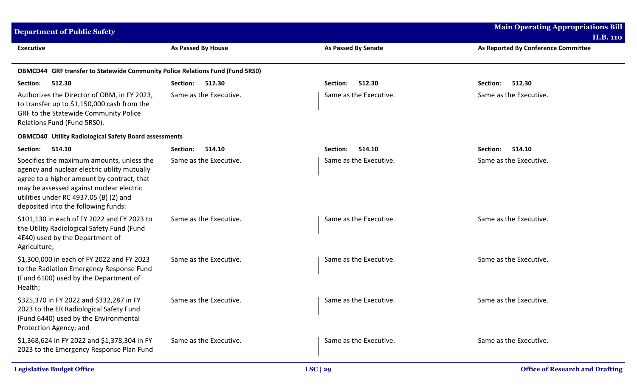| <b>Department of Public Safety</b>                                                                                                                                                                                                                                   |                           |                            | <b>Main Operating Appropriations Bill</b><br><b>H.B. 110</b> |
|----------------------------------------------------------------------------------------------------------------------------------------------------------------------------------------------------------------------------------------------------------------------|---------------------------|----------------------------|--------------------------------------------------------------|
| <b>Executive</b>                                                                                                                                                                                                                                                     | <b>As Passed By House</b> | <b>As Passed By Senate</b> | As Reported By Conference Committee                          |
| <b>OBMCD44</b> GRF transfer to Statewide Community Police Relations Fund (Fund 5RS0)                                                                                                                                                                                 |                           |                            |                                                              |
| 512.30<br>Section:                                                                                                                                                                                                                                                   | Section:<br>512.30        | 512.30<br>Section:         | 512.30<br>Section:                                           |
| Authorizes the Director of OBM, in FY 2023,<br>to transfer up to \$1,150,000 cash from the<br>GRF to the Statewide Community Police<br>Relations Fund (Fund 5RS0).                                                                                                   | Same as the Executive.    | Same as the Executive.     | Same as the Executive.                                       |
| <b>OBMCD40 Utility Radiological Safety Board assessments</b>                                                                                                                                                                                                         |                           |                            |                                                              |
| 514.10<br>Section:                                                                                                                                                                                                                                                   | 514.10<br>Section:        | 514.10<br>Section:         | 514.10<br>Section:                                           |
| Specifies the maximum amounts, unless the<br>agency and nuclear electric utility mutually<br>agree to a higher amount by contract, that<br>may be assessed against nuclear electric<br>utilities under RC 4937.05 (B) (2) and<br>deposited into the following funds: | Same as the Executive.    | Same as the Executive.     | Same as the Executive.                                       |
| \$101,130 in each of FY 2022 and FY 2023 to<br>the Utility Radiological Safety Fund (Fund<br>4E40) used by the Department of<br>Agriculture;                                                                                                                         | Same as the Executive.    | Same as the Executive.     | Same as the Executive.                                       |
| \$1,300,000 in each of FY 2022 and FY 2023<br>to the Radiation Emergency Response Fund<br>(Fund 6100) used by the Department of<br>Health;                                                                                                                           | Same as the Executive.    | Same as the Executive.     | Same as the Executive.                                       |
| \$325,370 in FY 2022 and \$332,287 in FY<br>2023 to the ER Radiological Safety Fund<br>(Fund 6440) used by the Environmental<br>Protection Agency; and                                                                                                               | Same as the Executive.    | Same as the Executive.     | Same as the Executive.                                       |
| \$1,368,624 in FY 2022 and \$1,378,304 in FY<br>2023 to the Emergency Response Plan Fund                                                                                                                                                                             | Same as the Executive.    | Same as the Executive.     | Same as the Executive.                                       |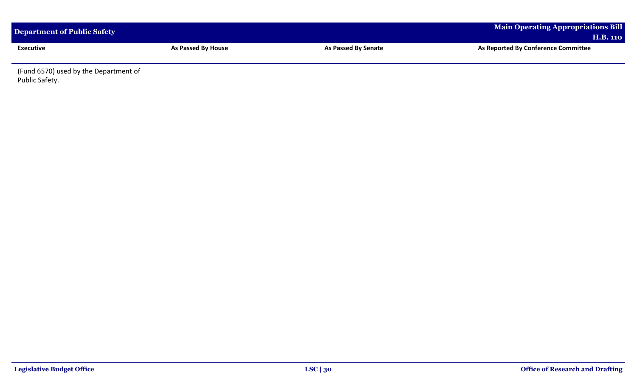| Department of Public Safety                             |                           |                     | <b>Main Operating Appropriations Bill</b><br><b>H.B. 110</b> |
|---------------------------------------------------------|---------------------------|---------------------|--------------------------------------------------------------|
| <b>Executive</b>                                        | <b>As Passed By House</b> | As Passed By Senate | As Reported By Conference Committee                          |
| (Fund 6570) used by the Department of<br>Public Safety. |                           |                     |                                                              |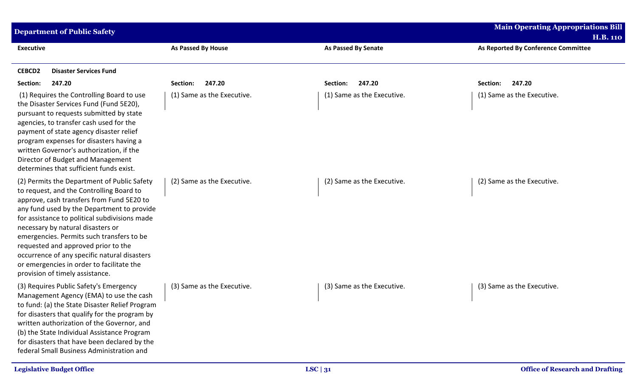| <b>Department of Public Safety</b>                                                                                                                                                                                                                                                                                                                                                                                                                                                           |                            |                            | <b>Main Operating Appropriations Bill</b>              |
|----------------------------------------------------------------------------------------------------------------------------------------------------------------------------------------------------------------------------------------------------------------------------------------------------------------------------------------------------------------------------------------------------------------------------------------------------------------------------------------------|----------------------------|----------------------------|--------------------------------------------------------|
| <b>Executive</b>                                                                                                                                                                                                                                                                                                                                                                                                                                                                             | As Passed By House         | <b>As Passed By Senate</b> | <b>H.B. 110</b><br>As Reported By Conference Committee |
| <b>CEBCD2</b><br><b>Disaster Services Fund</b>                                                                                                                                                                                                                                                                                                                                                                                                                                               |                            |                            |                                                        |
| Section:<br>247.20                                                                                                                                                                                                                                                                                                                                                                                                                                                                           | 247.20<br>Section:         | 247.20<br>Section:         | 247.20<br>Section:                                     |
| (1) Requires the Controlling Board to use<br>the Disaster Services Fund (Fund 5E20),<br>pursuant to requests submitted by state<br>agencies, to transfer cash used for the<br>payment of state agency disaster relief<br>program expenses for disasters having a<br>written Governor's authorization, if the<br>Director of Budget and Management<br>determines that sufficient funds exist.                                                                                                 | (1) Same as the Executive. | (1) Same as the Executive. | (1) Same as the Executive.                             |
| (2) Permits the Department of Public Safety<br>to request, and the Controlling Board to<br>approve, cash transfers from Fund 5E20 to<br>any fund used by the Department to provide<br>for assistance to political subdivisions made<br>necessary by natural disasters or<br>emergencies. Permits such transfers to be<br>requested and approved prior to the<br>occurrence of any specific natural disasters<br>or emergencies in order to facilitate the<br>provision of timely assistance. | (2) Same as the Executive. | (2) Same as the Executive. | (2) Same as the Executive.                             |
| (3) Requires Public Safety's Emergency<br>Management Agency (EMA) to use the cash<br>to fund: (a) the State Disaster Relief Program<br>for disasters that qualify for the program by<br>written authorization of the Governor, and<br>(b) the State Individual Assistance Program<br>for disasters that have been declared by the<br>federal Small Business Administration and                                                                                                               | (3) Same as the Executive. | (3) Same as the Executive. | (3) Same as the Executive.                             |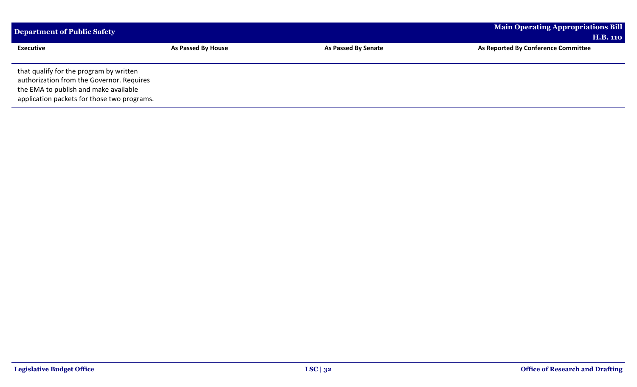| Department of Public Safety                                                                                                                                                  |                    |                            | <b>Main Operating Appropriations Bill</b> |  |
|------------------------------------------------------------------------------------------------------------------------------------------------------------------------------|--------------------|----------------------------|-------------------------------------------|--|
|                                                                                                                                                                              |                    |                            | <b>H.B. 110</b>                           |  |
| <b>Executive</b>                                                                                                                                                             | As Passed By House | <b>As Passed By Senate</b> | As Reported By Conference Committee       |  |
| that qualify for the program by written<br>authorization from the Governor. Requires<br>the EMA to publish and make available<br>application packets for those two programs. |                    |                            |                                           |  |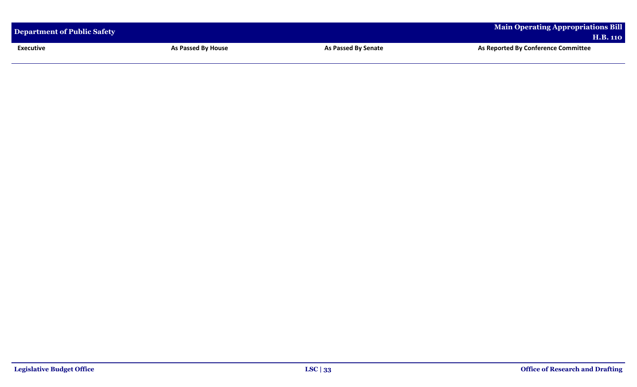| Department of Public Safety |                    |                     | Main Operating Appropriations Bill<br><b>H.B. 110</b> |
|-----------------------------|--------------------|---------------------|-------------------------------------------------------|
| <b>Executive</b>            | As Passed By House | As Passed By Senate | As Reported By Conference Committee                   |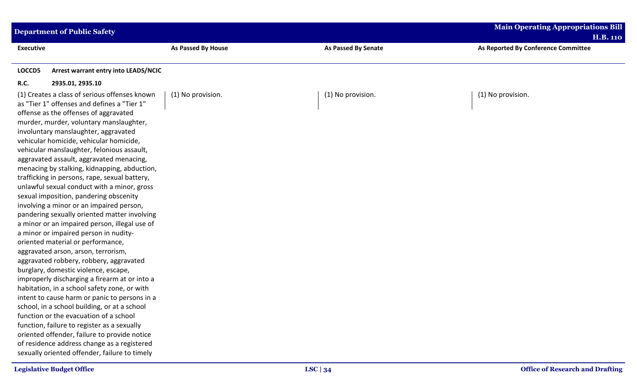| <b>Department of Public Safety</b>                                                                                                                                                                                                                                                                                                                                                                                                                                                                                                                                                                                                                                                                                                                                                                                                                                                                                                                                                                                                                                                                                                                                                                                                                                                                                                                      |                    |                            | <b>Main Operating Appropriations Bill</b> |
|---------------------------------------------------------------------------------------------------------------------------------------------------------------------------------------------------------------------------------------------------------------------------------------------------------------------------------------------------------------------------------------------------------------------------------------------------------------------------------------------------------------------------------------------------------------------------------------------------------------------------------------------------------------------------------------------------------------------------------------------------------------------------------------------------------------------------------------------------------------------------------------------------------------------------------------------------------------------------------------------------------------------------------------------------------------------------------------------------------------------------------------------------------------------------------------------------------------------------------------------------------------------------------------------------------------------------------------------------------|--------------------|----------------------------|-------------------------------------------|
|                                                                                                                                                                                                                                                                                                                                                                                                                                                                                                                                                                                                                                                                                                                                                                                                                                                                                                                                                                                                                                                                                                                                                                                                                                                                                                                                                         |                    |                            | <b>H.B. 110</b>                           |
| <b>Executive</b>                                                                                                                                                                                                                                                                                                                                                                                                                                                                                                                                                                                                                                                                                                                                                                                                                                                                                                                                                                                                                                                                                                                                                                                                                                                                                                                                        | As Passed By House | <b>As Passed By Senate</b> | As Reported By Conference Committee       |
| LOCCD5<br>Arrest warrant entry into LEADS/NCIC                                                                                                                                                                                                                                                                                                                                                                                                                                                                                                                                                                                                                                                                                                                                                                                                                                                                                                                                                                                                                                                                                                                                                                                                                                                                                                          |                    |                            |                                           |
| <b>R.C.</b><br>2935.01, 2935.10                                                                                                                                                                                                                                                                                                                                                                                                                                                                                                                                                                                                                                                                                                                                                                                                                                                                                                                                                                                                                                                                                                                                                                                                                                                                                                                         |                    |                            |                                           |
| (1) Creates a class of serious offenses known<br>as "Tier 1" offenses and defines a "Tier 1"<br>offense as the offenses of aggravated<br>murder, murder, voluntary manslaughter,<br>involuntary manslaughter, aggravated<br>vehicular homicide, vehicular homicide,<br>vehicular manslaughter, felonious assault,<br>aggravated assault, aggravated menacing,<br>menacing by stalking, kidnapping, abduction,<br>trafficking in persons, rape, sexual battery,<br>unlawful sexual conduct with a minor, gross<br>sexual imposition, pandering obscenity<br>involving a minor or an impaired person,<br>pandering sexually oriented matter involving<br>a minor or an impaired person, illegal use of<br>a minor or impaired person in nudity-<br>oriented material or performance,<br>aggravated arson, arson, terrorism,<br>aggravated robbery, robbery, aggravated<br>burglary, domestic violence, escape,<br>improperly discharging a firearm at or into a<br>habitation, in a school safety zone, or with<br>intent to cause harm or panic to persons in a<br>school, in a school building, or at a school<br>function or the evacuation of a school<br>function, failure to register as a sexually<br>oriented offender, failure to provide notice<br>of residence address change as a registered<br>sexually oriented offender, failure to timely | (1) No provision.  | (1) No provision.          | (1) No provision.                         |